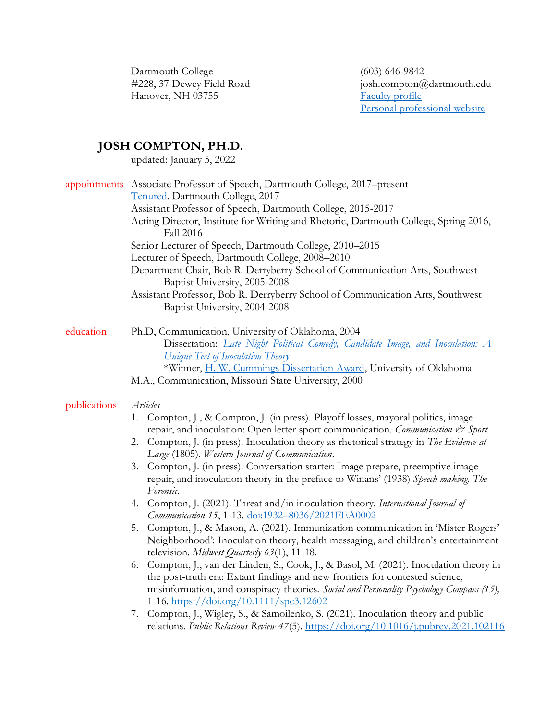Dartmouth College (603) 646-9842<br>
#228, 37 Dewey Field Road (603) iosh.compton@ Hanover, NH 03755

josh.compton@dartmouth.edu<br>Faculty profile [Personal professional website](https://sites.dartmouth.edu/jcompton/)

# **JOSH COMPTON, PH.D.**

updated: January 5, 2022

| appointments Associate Professor of Speech, Dartmouth College, 2017–present<br>Tenured. Dartmouth College, 2017<br>Assistant Professor of Speech, Dartmouth College, 2015-2017<br>Acting Director, Institute for Writing and Rhetoric, Dartmouth College, Spring 2016,<br><b>Fall 2016</b><br>Senior Lecturer of Speech, Dartmouth College, 2010-2015<br>Lecturer of Speech, Dartmouth College, 2008-2010<br>Department Chair, Bob R. Derryberry School of Communication Arts, Southwest<br>Baptist University, 2005-2008<br>Assistant Professor, Bob R. Derryberry School of Communication Arts, Southwest<br>Baptist University, 2004-2008                                                                                                                                                                                                                                                                                                                                                                                                                                                                                                                                                                                                                                                       |
|----------------------------------------------------------------------------------------------------------------------------------------------------------------------------------------------------------------------------------------------------------------------------------------------------------------------------------------------------------------------------------------------------------------------------------------------------------------------------------------------------------------------------------------------------------------------------------------------------------------------------------------------------------------------------------------------------------------------------------------------------------------------------------------------------------------------------------------------------------------------------------------------------------------------------------------------------------------------------------------------------------------------------------------------------------------------------------------------------------------------------------------------------------------------------------------------------------------------------------------------------------------------------------------------------|
| Ph.D, Communication, University of Oklahoma, 2004<br>Dissertation: <i>Late Night Political Comedy</i> , <i>Candidate Image</i> , and <i>Inoculation: A</i><br><b>Unique Test of Inoculation Theory</b><br>*Winner, H. W. Cummings Dissertation Award, University of Oklahoma<br>M.A., Communication, Missouri State University, 2000                                                                                                                                                                                                                                                                                                                                                                                                                                                                                                                                                                                                                                                                                                                                                                                                                                                                                                                                                               |
| Articles<br>1. Compton, J., & Compton, J. (in press). Playoff losses, mayoral politics, image<br>repair, and inoculation: Open letter sport communication. Communication & Sport.<br>2. Compton, J. (in press). Inoculation theory as rhetorical strategy in The Evidence at<br>Large (1805). Western Journal of Communication.<br>3. Compton, J. (in press). Conversation starter: Image prepare, preemptive image<br>repair, and inoculation theory in the preface to Winans' (1938) Speech-making. The<br>Forensic.<br>4. Compton, J. (2021). Threat and/in inoculation theory. International Journal of<br>Communication 15, 1-13. doi:1932-8036/2021FEA0002<br>5. Compton, J., & Mason, A. (2021). Immunization communication in 'Mister Rogers'<br>Neighborhood': Inoculation theory, health messaging, and children's entertainment<br>television. Midwest Quarterly 63(1), 11-18.<br>6. Compton, J., van der Linden, S., Cook, J., & Basol, M. (2021). Inoculation theory in<br>the post-truth era: Extant findings and new frontiers for contested science,<br>misinformation, and conspiracy theories. Social and Personality Psychology Compass (15),<br>1-16. https://doi.org/10.1111/spc3.12602<br>7. Compton, J., Wigley, S., & Samoilenko, S. (2021). Inoculation theory and public |
|                                                                                                                                                                                                                                                                                                                                                                                                                                                                                                                                                                                                                                                                                                                                                                                                                                                                                                                                                                                                                                                                                                                                                                                                                                                                                                    |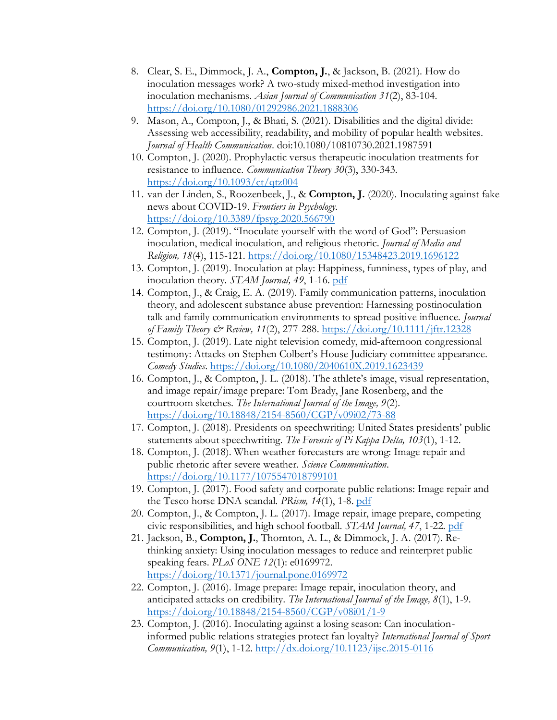- 8. Clear, S. E., Dimmock, J. A., **Compton, J.**, & Jackson, B. (2021). How do inoculation messages work? A two-study mixed-method investigation into inoculation mechanisms. *Asian Journal of Communication 31*(2), 83-104. <https://doi.org/10.1080/01292986.2021.1888306>
- 9. Mason, A., Compton, J., & Bhati, S. (2021). Disabilities and the digital divide: Assessing web accessibility, readability, and mobility of popular health websites. *Journal of Health Communication*. doi:10.1080/10810730.2021.1987591
- 10. Compton, J. (2020). Prophylactic versus therapeutic inoculation treatments for resistance to influence. *Communication Theory 30*(3), 330-343. <https://doi.org/10.1093/ct/qtz004>
- 11. van der Linden, S., Roozenbeek, J., & **Compton, J.** (2020). Inoculating against fake news about COVID-19. *Frontiers in Psychology*. <https://doi.org/10.3389/fpsyg.2020.566790>
- 12. Compton, J. (2019). "Inoculate yourself with the word of God": Persuasion inoculation, medical inoculation, and religious rhetoric. *Journal of Media and Religion, 18*(4), 115-121. <https://doi.org/10.1080/15348423.2019.1696122>
- 13. Compton, J. (2019). Inoculation at play: Happiness, funniness, types of play, and inoculation theory. *STAM Journal, 49*, 1-16. [pdf](/Users/d28855j/Downloads/2019%20Full%20Journal%20(4).pdf)
- 14. Compton, J., & Craig, E. A. (2019). Family communication patterns, inoculation theory, and adolescent substance abuse prevention: Harnessing postinoculation talk and family communication environments to spread positive influence. *Journal of Family Theory & Review, 11*(2), 277-288.<https://doi.org/10.1111/jftr.12328>
- 15. Compton, J. (2019). Late night television comedy, mid-afternoon congressional testimony: Attacks on Stephen Colbert's House Judiciary committee appearance. *Comedy Studies*. <https://doi.org/10.1080/2040610X.2019.1623439>
- 16. Compton, J., & Compton, J. L. (2018). The athlete's image, visual representation, and image repair/image prepare: Tom Brady, Jane Rosenberg, and the courtroom sketches. *The International Journal of the Image, 9*(2). <https://doi.org/10.18848/2154-8560/CGP/v09i02/73-88>
- 17. Compton, J. (2018). Presidents on speechwriting: United States presidents' public statements about speechwriting. *The Forensic of Pi Kappa Delta, 103*(1), 1-12.
- 18. Compton, J. (2018). When weather forecasters are wrong: Image repair and public rhetoric after severe weather. *Science Communication*. <https://doi.org/10.1177/1075547018799101>
- 19. Compton, J. (2017). Food safety and corporate public relations: Image repair and the Tesco horse DNA scandal. *PRism, 14*(1), 1-8. [pdf](https://www.prismjournal.org/uploads/1/2/5/6/125661607/v14-no1-a1.pdf)
- 20. Compton, J., & Compton, J. L. (2017). Image repair, image prepare, competing civic responsibilities, and high school football. *STAM Journal, 47*, 1-22. [pdf](/Users/d28855j/Downloads/2019%20Full%20Journal%20(4).pdf)
- 21. Jackson, B., **Compton, J.**, Thornton, A. L., & Dimmock, J. A. (2017). Rethinking anxiety: Using inoculation messages to reduce and reinterpret public speaking fears. *PLoS ONE 12*(1): e0169972. <https://doi.org/10.1371/journal.pone.0169972>
- 22. Compton, J. (2016). Image prepare: Image repair, inoculation theory, and anticipated attacks on credibility. *The International Journal of the Image, 8*(1), 1-9. <https://doi.org/10.18848/2154-8560/CGP/v08i01/1-9>
- 23. Compton, J. (2016). Inoculating against a losing season: Can inoculationinformed public relations strategies protect fan loyalty? *International Journal of Sport Communication, 9*(1), 1-12.<http://dx.doi.org/10.1123/ijsc.2015-0116>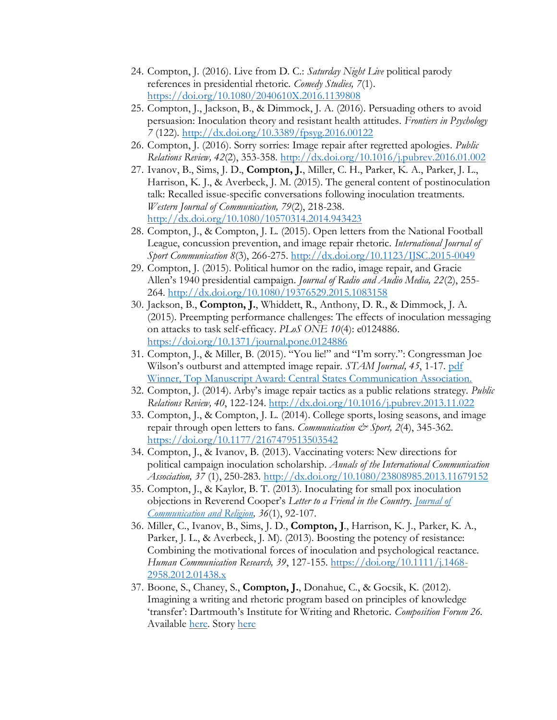- 24. Compton, J. (2016). Live from D. C.: *Saturday Night Live* political parody references in presidential rhetoric. *Comedy Studies, 7*(1). <https://doi.org/10.1080/2040610X.2016.1139808>
- 25. Compton, J., Jackson, B., & Dimmock, J. A. (2016). Persuading others to avoid persuasion: Inoculation theory and resistant health attitudes. *Frontiers in Psychology 7* (122).<http://dx.doi.org/10.3389/fpsyg.2016.00122>
- 26. Compton, J. (2016). Sorry sorries: Image repair after regretted apologies. *Public Relations Review, 42*(2), 353-358. <http://dx.doi.org/10.1016/j.pubrev.2016.01.002>
- 27. Ivanov, B., Sims, J. D., **Compton, J.**, Miller, C. H., Parker, K. A., Parker, J. L., Harrison, K. J., & Averbeck, J. M. (2015). The general content of postinoculation talk: Recalled issue-specific conversations following inoculation treatments. *Western Journal of Communication, 79*(2), 218-238. <http://dx.doi.org/10.1080/10570314.2014.943423>
- 28. Compton, J., & Compton, J. L. (2015). Open letters from the National Football League, concussion prevention, and image repair rhetoric. *International Journal of Sport Communication 8*(3), 266-275.<http://dx.doi.org/10.1123/IJSC.2015-0049>
- 29. Compton, J. (2015). Political humor on the radio, image repair, and Gracie Allen's 1940 presidential campaign. *Journal of Radio and Audio Media, 22*(2), 255- 264.<http://dx.doi.org/10.1080/19376529.2015.1083158>
- 30. Jackson, B., **Compton, J.**, Whiddett, R., Anthony, D. R., & Dimmock, J. A. (2015). Preempting performance challenges: The effects of inoculation messaging on attacks to task self-efficacy. *PLoS ONE 10*(4): e0124886. <https://doi.org/10.1371/journal.pone.0124886>
- 31. Compton, J., & Miller, B. (2015). "You lie!" and "I'm sorry.": Congressman Joe Wilson's outburst and attempted image repair. *STAM Journal, 45*, 1-17. [pdf](/Users/d28855j/Downloads/2019%20Full%20Journal%20(4).pdf) [Winner, Top Manuscript Award: Central States Communication Association.](https://www.csca-net.org/aws/CSCA/pt/sp/awards)
- 32. Compton, J. (2014). Arby's image repair tactics as a public relations strategy. *Public Relations Review, 40*, 122-124.<http://dx.doi.org/10.1016/j.pubrev.2013.11.022>
- 33. Compton, J., & Compton, J. L. (2014). College sports, losing seasons, and image repair through open letters to fans. *Communication & Sport, 2*(4), 345-362. [https://doi.org/10.1177/2167479513503542](https://doi.org/10.1177%2F2167479513503542)
- 34. Compton, J., & Ivanov, B. (2013). Vaccinating voters: New directions for political campaign inoculation scholarship. *Annals of the International Communication Association, 37* (1), 250-283.<http://dx.doi.org/10.1080/23808985.2013.11679152>
- 35. Compton, J., & Kaylor, B. T. (2013). Inoculating for small pox inoculation objections in Reverend Cooper's *Letter to a Friend in the Country*. *[Journal of](http://www.relcomm.org/journal-of-communication-and-religion.html)  [Communication and Religion,](http://www.relcomm.org/journal-of-communication-and-religion.html) 36*(1), 92-107.
- 36. Miller, C., Ivanov, B., Sims, J. D., **Compton, J**., Harrison, K. J., Parker, K. A., Parker, J. L., & Averbeck, J. M). (2013). Boosting the potency of resistance: Combining the motivational forces of inoculation and psychological reactance. *Human Communication Research, 39*, 127-155. [https://doi.org/10.1111/j.1468-](https://doi.org/10.1111/j.1468-2958.2012.01438.x) [2958.2012.01438.x](https://doi.org/10.1111/j.1468-2958.2012.01438.x)
- 37. Boone, S., Chaney, S., **Compton, J.**, Donahue, C., & Gocsik, K. (2012). Imagining a writing and rhetoric program based on principles of knowledge 'transfer': Dartmouth's Institute for Writing and Rhetoric. *Composition Forum 26.* Available [here.](https://compositionforum.com/issue/26/dartmouth.php) Story [here](https://writing-speech.dartmouth.edu/news/2012/11/institute-writing-rhetoric-program-profile-composition-forum)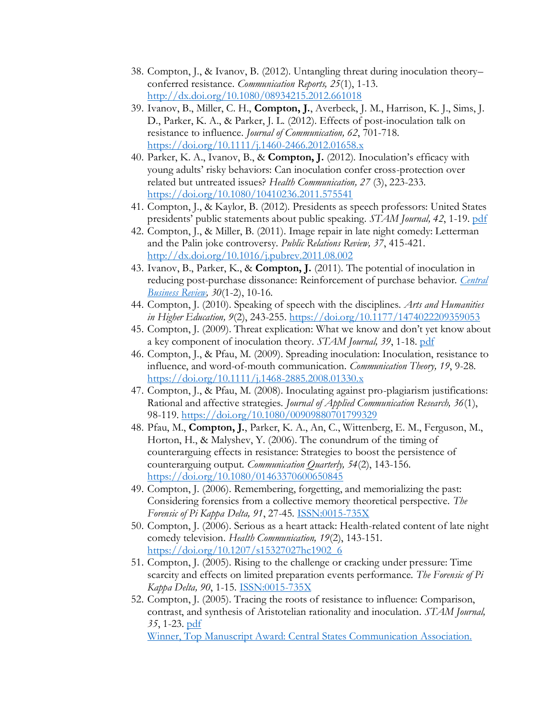- 38. Compton, J., & Ivanov, B. (2012). Untangling threat during inoculation theory– conferred resistance. *Communication Reports, 25*(1), 1-13. <http://dx.doi.org/10.1080/08934215.2012.661018>
- 39. Ivanov, B., Miller, C. H., **Compton, J.**, Averbeck, J. M., Harrison, K. J., Sims, J. D., Parker, K. A., & Parker, J. L. (2012). Effects of post-inoculation talk on resistance to influence. *Journal of Communication, 62*, 701-718. <https://doi.org/10.1111/j.1460-2466.2012.01658.x>
- 40. Parker, K. A., Ivanov, B., & **Compton, J.** (2012). Inoculation's efficacy with young adults' risky behaviors: Can inoculation confer cross-protection over related but untreated issues? *Health Communication, 27* (3), 223-233. <https://doi.org/10.1080/10410236.2011.575541>
- 41. Compton, J., & Kaylor, B. (2012). Presidents as speech professors: United States presidents' public statements about public speaking. *STAM Journal, 42*, 1-19. [pdf](https://speechandtheatremo.org/journal-archive/)
- 42. Compton, J., & Miller, B. (2011). Image repair in late night comedy: Letterman and the Palin joke controversy. *Public Relations Review, 37*, 415-421. <http://dx.doi.org/10.1016/j.pubrev.2011.08.002>
- 43. Ivanov, B., Parker, K., & **Compton, J.** (2011). The potential of inoculation in reducing post-purchase dissonance: Reinforcement of purchase behavior. *[Central](http://www.okra.net/cbr/)  [Business Review,](http://www.okra.net/cbr/) 30*(1-2), 10-16.
- 44. Compton, J. (2010). Speaking of speech with the disciplines. *Arts and Humanities in Higher Education, 9*(2), 243-255. [https://doi.org/10.1177/1474022209359053](https://doi.org/10.1177%2F1474022209359053)
- 45. Compton, J. (2009). Threat explication: What we know and don't yet know about a key component of inoculation theory. *STAM Journal, 39*, 1-18. [pdf](https://speechandtheatremo.org/journal-archive/)
- 46. Compton, J., & Pfau, M. (2009). Spreading inoculation: Inoculation, resistance to influence, and word-of-mouth communication. *Communication Theory, 19*, 9-28. <https://doi.org/10.1111/j.1468-2885.2008.01330.x>
- 47. Compton, J., & Pfau, M. (2008). Inoculating against pro-plagiarism justifications: Rational and affective strategies. *Journal of Applied Communication Research, 36*(1), 98-119.<https://doi.org/10.1080/00909880701799329>
- 48. Pfau, M., **Compton, J.**, Parker, K. A., An, C., Wittenberg, E. M., Ferguson, M., Horton, H., & Malyshev, Y. (2006). The conundrum of the timing of counterarguing effects in resistance: Strategies to boost the persistence of counterarguing output. *Communication Quarterly, 54*(2), 143-156. <https://doi.org/10.1080/01463370600650845>
- 49. Compton, J. (2006). Remembering, forgetting, and memorializing the past: Considering forensics from a collective memory theoretical perspective. *The Forensic of Pi Kappa Delta, 91*, 27-45. [ISSN:0015-735X](http://dartmouth.idm.oclc.org/login?url=https://search.ebscohost.com/login.aspx?direct=true&AuthType=ip,url,uid&db=ufh&AN=21760304&site=ehost-live&scope=site)
- 50. Compton, J. (2006). Serious as a heart attack: Health-related content of late night comedy television. *Health Communication, 19*(2), 143-151. [https://doi.org/10.1207/s15327027hc1902\\_6](https://doi.org/10.1207/s15327027hc1902_6)
- 51. Compton, J. (2005). Rising to the challenge or cracking under pressure: Time scarcity and effects on limited preparation events performance. *The Forensic of Pi Kappa Delta, 90*, 1-15. [ISSN:0015-735X](http://dartmouth.idm.oclc.org/login?url=https://search.ebscohost.com/login.aspx?direct=true&AuthType=ip,url,uid&db=ufh&AN=18794174&site=ehost-live&scope=site)
- 52. Compton, J. (2005). Tracing the roots of resistance to influence: Comparison, contrast, and synthesis of Aristotelian rationality and inoculation. *STAM Journal, 35*, 1-23. [pdf](https://speechandtheatremo.org/journal-archive/) [Winner, Top Manuscript Award: Central States Communication Association.](https://www.csca-net.org/aws/CSCA/pt/sp/awards)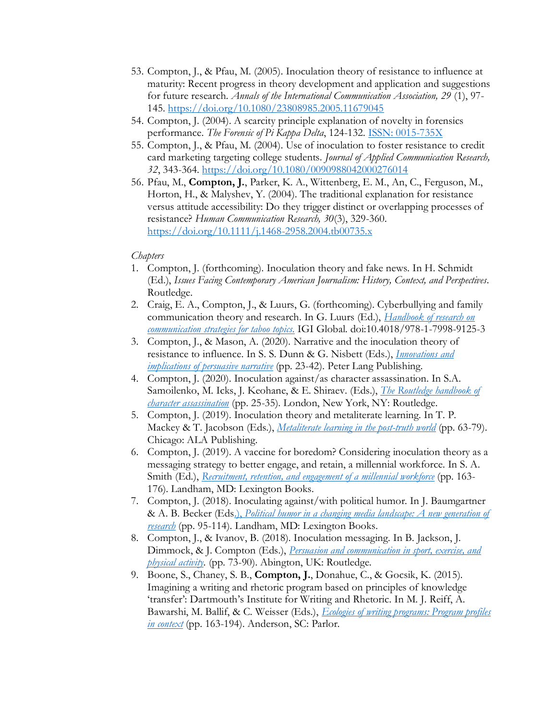- 53. Compton, J., & Pfau, M. (2005). Inoculation theory of resistance to influence at maturity: Recent progress in theory development and application and suggestions for future research. *Annals of the International Communication Association, 29* (1), 97- 145.<https://doi.org/10.1080/23808985.2005.11679045>
- 54. Compton, J. (2004). A scarcity principle explanation of novelty in forensics performance. *The Forensic of Pi Kappa Delta*, 124-132. ISSN: [0015-735X](http://dartmouth.idm.oclc.org/login?url=https://search.ebscohost.com/login.aspx?direct=true&AuthType=ip,url,uid&db=ufh&AN=30029401&site=ehost-live&scope=site)
- 55. Compton, J., & Pfau, M. (2004). Use of inoculation to foster resistance to credit card marketing targeting college students. *Journal of Applied Communication Research, 32*, 343-364.<https://doi.org/10.1080/0090988042000276014>
- 56. Pfau, M., **Compton, J.**, Parker, K. A., Wittenberg, E. M., An, C., Ferguson, M., Horton, H., & Malyshev, Y. (2004). The traditional explanation for resistance versus attitude accessibility: Do they trigger distinct or overlapping processes of resistance? *Human Communication Research, 30*(3), 329-360. <https://doi.org/10.1111/j.1468-2958.2004.tb00735.x>

#### *Chapters*

- 1. Compton, J. (forthcoming). Inoculation theory and fake news. In H. Schmidt (Ed.), *Issues Facing Contemporary American Journalism: History, Context, and Perspectives*. Routledge.
- 2. Craig, E. A., Compton, J., & Luurs, G. (forthcoming). Cyberbullying and family communication theory and research. In G. Luurs (Ed.), *[Handbook of research on](https://www.igi-global.com/book/handbook-research-communication-strategies-taboo/275842)  [communication strategies for taboo topics](https://www.igi-global.com/book/handbook-research-communication-strategies-taboo/275842)*. IGI Global. doi:10.4018/978-1-7998-9125-3
- 3. Compton, J., & Mason, A. (2020). Narrative and the inoculation theory of resistance to influence. In S. S. Dunn & G. Nisbett (Eds.), *[Innovations](https://www.peterlang.com/document/1059128) and implications [of persuasive narrative](https://www.peterlang.com/document/1059128)* (pp. 23-42). Peter Lang Publishing.
- 4. Compton, J. (2020). Inoculation against/as character assassination. In S.A. Samoilenko, M. Icks, J. Keohane, & E. Shiraev. (Eds.), *[The Routledge handbook of](https://www.routledge.com/Routledge-Handbook-of-Character-Assassination-and-Reputation-Management/Samoilenko-Icks-Keohane-Shiraev/p/book/9781032081779)  [character assassination](https://www.routledge.com/Routledge-Handbook-of-Character-Assassination-and-Reputation-Management/Samoilenko-Icks-Keohane-Shiraev/p/book/9781032081779)* (pp. 25-35). London, New York, NY: Routledge.
- 5. Compton, J. (2019). Inoculation theory and metaliterate learning. In T. P. Mackey & T. Jacobson (Eds.), *[Metaliterate learning in the post-truth world](https://www.alastore.ala.org/content/metaliterate-learning-post-truth-world)* (pp. 63-79). Chicago: ALA Publishing.
- 6. Compton, J. (2019). A vaccine for boredom? Considering inoculation theory as a messaging strategy to better engage, and retain, a millennial workforce. In S. A. Smith (Ed.), *[Recruitment, retention, and engagement of a millennial workforce](https://rowman.com/ISBN/9781498579704/Recruitment-Retention-and-Engagement-of-a-Millennial-Workforce)* (pp. 163- 176)*.* Landham, MD: Lexington Books.
- 7. Compton, J. (2018). Inoculating against/with political humor. In J. Baumgartner & A. B. Becker (Eds.), *[Political humor in a changing media landscape: A new generation of](https://rowman.com/ISBN/9781498565080/Political-Humor-in-a-Changing-Media-Landscape-A-New-Generation-of-Research)  [research](https://rowman.com/ISBN/9781498565080/Political-Humor-in-a-Changing-Media-Landscape-A-New-Generation-of-Research)* (pp. 95-114)*.* Landham, MD: Lexington Books.
- 8. Compton, J., & Ivanov, B. (2018). Inoculation messaging. In B. Jackson, J. Dimmock, & J. Compton (Eds.), *[Persuasion and communication in sport, exercise, and](https://www.routledge.com/Persuasion-and-Communication-in-Sport-Exercise-and-Physical-Activity/Jackson-Dimmock-Compton/p/book/9780367407759)  [physical activity.](https://www.routledge.com/Persuasion-and-Communication-in-Sport-Exercise-and-Physical-Activity/Jackson-Dimmock-Compton/p/book/9780367407759)* (pp. 73-90). Abington, UK: Routledge.
- 9. Boone, S., Chaney, S. B., **Compton, J.**, Donahue, C., & Gocsik, K. (2015). Imagining a writing and rhetoric program based on principles of knowledge 'transfer': Dartmouth's Institute for Writing and Rhetoric. In M. J. Reiff, A. Bawarshi, M. Ballif, & C. Weisser (Eds.), *[Ecologies of writing programs: Program profiles](https://parlorpress.com/products/ecologies-of-writing-programs-program-profiles-in-context)  [in context](https://parlorpress.com/products/ecologies-of-writing-programs-program-profiles-in-context)* (pp. 163-194). Anderson, SC: Parlor.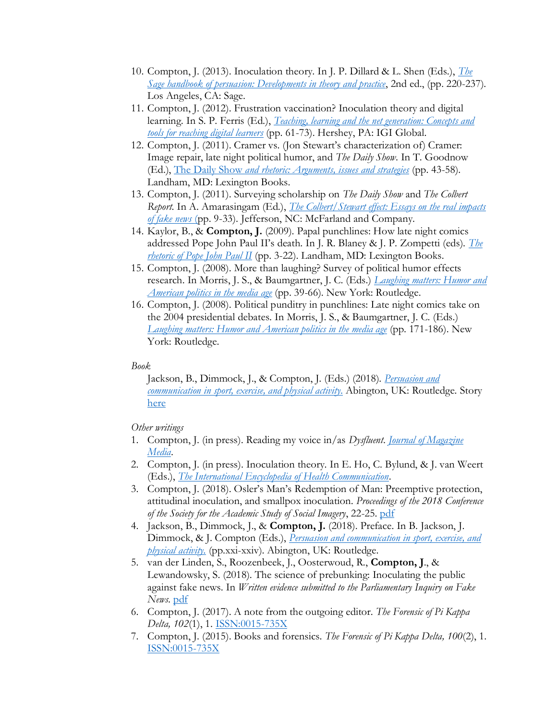- 10. Compton, J. (2013). Inoculation theory. In J. P. Dillard & L. Shen (Eds.), *[The](https://us.sagepub.com/en-us/nam/the-sage-handbook-of-persuasion/book234908)  [Sage handbook of persuasion: Developments in theory and practice](https://us.sagepub.com/en-us/nam/the-sage-handbook-of-persuasion/book234908)*, 2nd ed., (pp. 220-237). Los Angeles, CA: Sage.
- 11. Compton, J. (2012). Frustration vaccination? Inoculation theory and digital learning. In S. P. Ferris (Ed.), *[Teaching, learning and the net generation: Concepts and](https://www.igi-global.com/book/teaching-learning-net-generation/53005)  [tools for reaching digital learners](https://www.igi-global.com/book/teaching-learning-net-generation/53005)* (pp. 61-73). Hershey, PA: IGI Global.
- 12. Compton, J. (2011). Cramer vs. (Jon Stewart's characterization of) Cramer: Image repair, late night political humor, and *The Daily Show*. In T. Goodnow (Ed.), The Daily Show *[and rhetoric: Arguments, issues and strategies](https://rowman.com/isbn/0739150022)* (pp. 43-58). Landham, MD: Lexington Books.
- 13. Compton, J. (2011). Surveying scholarship on *The Daily Show* and *The Colbert Report*. In A. Amarasingam (Ed.), *[The Colbert/Stewart effect: Essays on the real impacts](https://mcfarlandbooks.com/product/The-Stewart-Colbert-Effect/)  [of fake news](https://mcfarlandbooks.com/product/The-Stewart-Colbert-Effect/)* (pp. 9-33). Jefferson, NC: McFarland and Company.
- 14. Kaylor, B., & **Compton, J.** (2009). Papal punchlines: How late night comics addressed Pope John Paul II's death. In J. R. Blaney & J. P. Zompetti (eds). *[The](https://rowman.com/ISBN/9780739121344/The-Rhetoric-of-Pope-John-Paul-II)  [rhetoric of Pope John Paul II](https://rowman.com/ISBN/9780739121344/The-Rhetoric-of-Pope-John-Paul-II)* (pp. 3-22). Landham, MD: Lexington Books.
- 15. Compton, J. (2008). More than laughing? Survey of political humor effects research. In Morris, J. S., & Baumgartner, J. C. (Eds.) *[Laughing matters: Humor and](https://www.routledge.com/Laughing-Matters-Humor-and-American-Politics-in-the-Media-Age/Baumgartner-Morris/p/book/9780415957489)  [American politics in the media age](https://www.routledge.com/Laughing-Matters-Humor-and-American-Politics-in-the-Media-Age/Baumgartner-Morris/p/book/9780415957489)* (pp. 39-66). New York: Routledge.
- 16. Compton, J. (2008). Political punditry in punchlines: Late night comics take on the 2004 presidential debates. In Morris, J. S., & Baumgartner, J. C. (Eds.) *[Laughing matters: Humor and American politics in the media age](https://www.routledge.com/Laughing-Matters-Humor-and-American-Politics-in-the-Media-Age/Baumgartner-Morris/p/book/9780415957489)* (pp. 171-186). New York: Routledge.

#### *Book*

Jackson, B., Dimmock, J., & Compton, J. (Eds.) (2018). *[Persuasion and](https://www.routledge.com/Persuasion-and-Communication-in-Sport-Exercise-and-Physical-Activity/Jackson-Dimmock-Compton/p/book/9780367407759)  [communication in sport, exercise, and physical activity](https://www.routledge.com/Persuasion-and-Communication-in-Sport-Exercise-and-Physical-Activity/Jackson-Dimmock-Compton/p/book/9780367407759)*. Abington, UK: Routledge. Story [here](https://writing-speech.dartmouth.edu/news/2017/11/new-frontier-inoculation-theory)

#### *Other writings*

- 1. Compton, J. (in press). Reading my voice in/as *Dysfluent*. *[Journal of Magazine](https://muse.jhu.edu/journal/739)  [Media](https://muse.jhu.edu/journal/739)*.
- 2. Compton, J. (in press). Inoculation theory. In E. Ho, C. Bylund, & J. van Weert (Eds.), *[The International Encyclopedia of Health Communication](https://www.wiley.com/en-us)*.
- 3. Compton, J. (2018). Osler's Man's Redemption of Man: Preemptive protection, attitudinal inoculation, and smallpox inoculation. *Proceedings of the 2018 Conference of the Society for the Academic Study of Social Imagery*, 22-25. [pdf](https://www.unco.edu/sassi/SASSIPROCEEDINGSII.pdf)
- 4. Jackson, B., Dimmock, J., & **Compton, J.** (2018). Preface. In B. Jackson, J. Dimmock, & J. Compton (Eds.), *[Persuasion and communication in sport, exercise, and](https://www.routledge.com/Persuasion-and-Communication-in-Sport-Exercise-and-Physical-Activity/Jackson-Dimmock-Compton/p/book/9780367407759)  [physical activity.](https://www.routledge.com/Persuasion-and-Communication-in-Sport-Exercise-and-Physical-Activity/Jackson-Dimmock-Compton/p/book/9780367407759)* (pp.xxi-xxiv). Abington, UK: Routledge.
- 5. van der Linden, S., Roozenbeek, J., Oosterwoud, R., **Compton, J**., & Lewandowsky, S. (2018). The science of prebunking: Inoculating the public against fake news. In *Written evidence submitted to the Parliamentary Inquiry on Fake News*. [pdf](http://data.parliament.uk/writtenevidence/committeeevidence.svc/evidencedocument/digital-culture-media-and-sport-committee/fake-news/written/79482.html)
- 6. Compton, J. (2017). A note from the outgoing editor. *The Forensic of Pi Kappa Delta, 102*(1), 1. [ISSN:0015-735X](http://dartmouth.idm.oclc.org/login?url=https://search.ebscohost.com/login.aspx?direct=true&AuthType=ip,url,uid&db=ufh&AN=125762648&site=ehost-live&scope=site)
- 7. Compton, J. (2015). Books and forensics. *The Forensic of Pi Kappa Delta, 100*(2), 1. [ISSN:0015-735X](http://dartmouth.idm.oclc.org/login?url=https://search.ebscohost.com/login.aspx?direct=true&AuthType=ip,url,uid&db=ufh&AN=109346566&site=ehost-live&scope=site)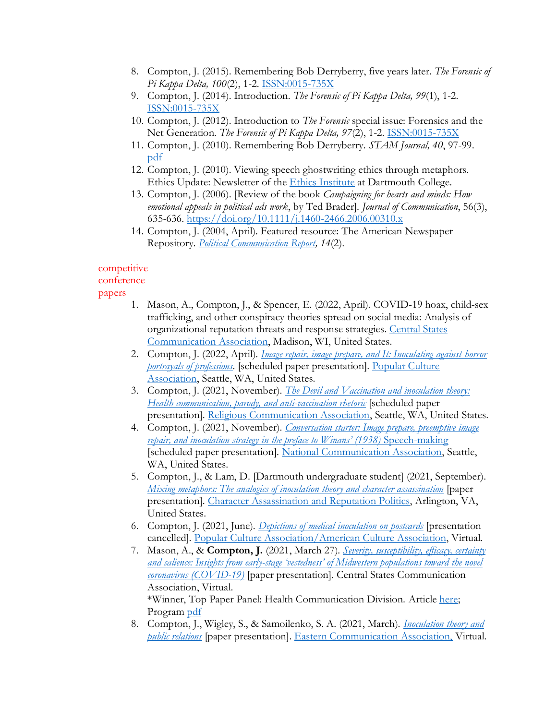- 8. Compton, J. (2015). Remembering Bob Derryberry, five years later. *The Forensic of Pi Kappa Delta, 100*(2), 1-2. [ISSN:0015-735X](http://dartmouth.idm.oclc.org/login?url=https://search.ebscohost.com/login.aspx?direct=true&AuthType=ip,url,uid&db=ufh&AN=102611735&site=ehost-live&scope=site)
- 9. Compton, J. (2014). Introduction. *The Forensic of Pi Kappa Delta, 99*(1), 1-2. [ISSN:0015-735X](http://dartmouth.idm.oclc.org/login?url=https://search.ebscohost.com/login.aspx?direct=true&AuthType=ip,url,uid&db=ufh&AN=125812656&site=ehost-live&scope=site)
- 10. Compton, J. (2012). Introduction to *The Forensic* special issue: Forensics and the Net Generation. *The Forensic of Pi Kappa Delta, 97*(2), 1-2. [ISSN:0015-735X](http://dartmouth.idm.oclc.org/login?url=https://search.ebscohost.com/login.aspx?direct=true&AuthType=ip,url,uid&db=ufh&AN=82540549&site=ehost-live&scope=site)
- 11. Compton, J. (2010). Remembering Bob Derryberry. *STAM Journal, 40*, 97-99. [pdf](https://speechandtheatremo.org/journal-archive/)
- 12. Compton, J. (2010). Viewing speech ghostwriting ethics through metaphors. Ethics Update: Newsletter of the [Ethics Institute](https://ethics-institute.dartmouth.edu/) at Dartmouth College.
- 13. Compton, J. (2006). [Review of the book *Campaigning for hearts and minds: How emotional appeals in political ads work*, by Ted Brader]. *Journal of Communication*, 56(3), 635-636. <https://doi.org/10.1111/j.1460-2466.2006.00310.x>
- 14. Compton, J. (2004, April). Featured resource: The American Newspaper Repository. *[Political Communication Report,](http://politicalcommunication.org/) 14*(2).

## competitive

## conference

### papers

- 1. Mason, A., Compton, J., & Spencer, E. (2022, April). COVID-19 hoax, child-sex trafficking, and other conspiracy theories spread on social media: Analysis of organizational reputation threats and response strategies. [Central States](https://www.csca-net.org/aws/CSCA/asset_manager/get_file/643706?ver=0)  [Communication Association,](https://www.csca-net.org/aws/CSCA/asset_manager/get_file/643706?ver=0) Madison, WI, United States.
- 2. Compton, J. (2022, April). *[Image repair, image prepare, and It: Inoculating against horror](https://sites.dartmouth.edu/jcompton/2021/10/13/image-repair-image-prepare-and-it-inoculating-against-horror-portrayals-of-professions/)  [portrayals of professions](https://sites.dartmouth.edu/jcompton/2021/10/13/image-repair-image-prepare-and-it-inoculating-against-horror-portrayals-of-professions/)*. [scheduled paper presentation]. [Popular Culture](https://pcaaca.org/conference/2022)  [Association,](https://pcaaca.org/conference/2022) Seattle, WA, United States.
- 3. Compton, J. (2021, November). *[The Devil and Vaccination and inoculation theory:](https://sites.dartmouth.edu/jcompton/2021/09/28/upcoming-presentation/)  [Health communication, parody, and anti-vaccination rhetoric](https://sites.dartmouth.edu/jcompton/2021/09/28/upcoming-presentation/)* [scheduled paper] presentation]. [Religious Communication Association,](http://www.relcomm.org/rca-conferences-and-calls.html) Seattle, WA, United States.
- 4. Compton, J. (2021, November). *[Conversation starter: Image prepare, preemptive image](https://sites.dartmouth.edu/jcompton/2021/09/28/upcoming-presentation-2/)  [repair, and inoculation strategy in the preface to Winans' \(1938\)](https://sites.dartmouth.edu/jcompton/2021/09/28/upcoming-presentation-2/)* Speech-making [scheduled paper presentation]. [National Communication Association,](https://www.natcom.org/nca-107th-annual-convention-renewal-and-transformation) Seattle, WA, United States.
- 5. Compton, J., & Lam, D. [Dartmouth undergraduate student] (2021, September). *[Mixing metaphors: The analogics of inoculation theory and character assassination](https://sites.dartmouth.edu/jcompton/2021/09/28/past-presentation/)* [paper presentation]. [Character Assassination and Reputation Politics,](https://carpresearchlab.org/carp-2021-conference/) Arlington, VA, United States.
- 6. Compton, J. (2021, June). *[Depictions of medical inoculation on postcards](https://sites.dartmouth.edu/jcompton/2021/06/04/depictions-of-medical-inoculation-on-postcards/)* [presentation cancelled]. [Popular Culture Association/American Culture Association,](https://pcaaca.org/conference/2021) Virtual.
- 7. Mason, A., & **Compton, J.** (2021, March 27). *[Severity, susceptibility, efficacy, certainty](https://sites.dartmouth.edu/jcompton/2021/03/27/severity-susceptibility-efficacy-certainty-and-salience-insights-from-early-stage-vestedness-of-midwestern-populations-toward-the-novel-coronavirus-covid-19/)  and salience: Insights from early-[stage 'vestedness' of Midwestern populations toward the novel](https://sites.dartmouth.edu/jcompton/2021/03/27/severity-susceptibility-efficacy-certainty-and-salience-insights-from-early-stage-vestedness-of-midwestern-populations-toward-the-novel-coronavirus-covid-19/)  [coronavirus \(COVID-19\)](https://sites.dartmouth.edu/jcompton/2021/03/27/severity-susceptibility-efficacy-certainty-and-salience-insights-from-early-stage-vestedness-of-midwestern-populations-toward-the-novel-coronavirus-covid-19/)* [paper presentation]*.* Central States Communication Association, Virtual. \*Winner, Top Paper Panel: Health Communication Division. Article [here;](https://writing-speech.dartmouth.edu/news/2021/02/associate-professor-speech-josh-compton-earns-top-paper-award-health-communication) Program [pdf](https://www.csca-net.org/aws/CSCA/asset_manager/get_file/548924)
- 8. Compton, J., Wigley, S., & Samoilenko, S. A. (2021, March). *[Inoculation theory and](https://sites.dartmouth.edu/jcompton/2021/03/28/past-presentation-2/)  [public relations](https://sites.dartmouth.edu/jcompton/2021/03/28/past-presentation-2/)* [paper presentation]. [Eastern Communication Association,](https://www.ecasite.org/aws/ECA/pt/sp/Home_Page) Virtual.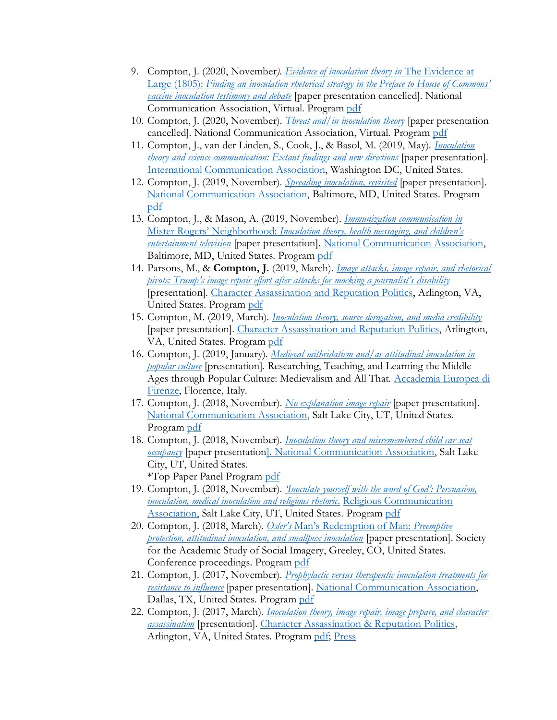- 9. Compton, J. (2020, November*). [Evidence of inoculation theory in](https://sites.dartmouth.edu/jcompton/2020/11/04/evidence-of-inoculation-theory-in-the-evidence-at-large-1805-finding-an-inoculation-rhetorical-strategy-in-the-preface-to-house-of-commons-vaccine-inoculation-testimony-and-debate/)* The Evidence at Large (1805): *[Finding an inoculation rhetorical strategy in the Preface to House of Commons'](https://sites.dartmouth.edu/jcompton/2020/11/04/evidence-of-inoculation-theory-in-the-evidence-at-large-1805-finding-an-inoculation-rhetorical-strategy-in-the-preface-to-house-of-commons-vaccine-inoculation-testimony-and-debate/)  [vaccine inoculation testimony and debate](https://sites.dartmouth.edu/jcompton/2020/11/04/evidence-of-inoculation-theory-in-the-evidence-at-large-1805-finding-an-inoculation-rhetorical-strategy-in-the-preface-to-house-of-commons-vaccine-inoculation-testimony-and-debate/)* [paper presentation cancelled]. National Communication Association, Virtual. Program [pdf](https://www.natcom.org/sites/default/files/annual-convention/2020%20Program%20PDF%20for%20website.pdf)
- 10. Compton, J. (2020, November). *Threat [and/in inoculation theory](https://sites.dartmouth.edu/jcompton/2020/11/04/threat-and-in-inoculation-theory/)* [paper presentation cancelled]. National Communication Association, Virtual. Program [pdf](https://www.natcom.org/sites/default/files/annual-convention/2020%20Program%20PDF%20for%20website.pdf)
- 11. Compton, J., van der Linden, S., Cook, J., & Basol, M. (2019, May). *[Inoculation](https://sites.dartmouth.edu/jcompton/2019/05/28/past-presentation-3/)  [theory and science communication: Extant findings and new directions](https://sites.dartmouth.edu/jcompton/2019/05/28/past-presentation-3/)* [paper presentation]. [International Communication Association,](https://www.icahdq.org/page/2019Conference) Washington DC, United States.
- 12. Compton, J. (2019, November). *[Spreading inoculation, revisited](https://sites.dartmouth.edu/jcompton/2019/11/28/past-presentation-5/)* [paper presentation]. [National Communication Association,](https://www.natcom.org/nca-105th-annual-convention-communication-survival) Baltimore, MD, United States. Program [pdf](https://www.natcom.org/sites/default/files/annual-convention/NCA_Convention_Archives_2019_Program.pdf)
- 13. Compton, J., & Mason, A. (2019, November). *[Immunization communication in](https://sites.dartmouth.edu/jcompton/2019/11/28/past-presentation-6/)* Mister Rogers' Neighborhood: *[Inoculation theory, health messaging, and children's](https://sites.dartmouth.edu/jcompton/2019/11/28/past-presentation-6/)  [entertainment television](https://sites.dartmouth.edu/jcompton/2019/11/28/past-presentation-6/)* [paper presentation]*.* [National Communication Association,](https://www.natcom.org/nca-105th-annual-convention-communication-survival) Baltimore, MD, United States. Program [pdf](https://www.natcom.org/sites/default/files/annual-convention/NCA_Convention_Archives_2019_Program.pdf)
- 14. Parsons, M., & **Compton, J.** (2019, March). *[Image attacks, image repair, and rhetorical](https://sites.dartmouth.edu/jcompton/2019/03/15/image-attacks-image-repair-and-rhetorical-pivots/)*  [pivots: Trump's image repair effort after attacks for mocking a journalist's](https://sites.dartmouth.edu/jcompton/2019/03/15/image-attacks-image-repair-and-rhetorical-pivots/) disability [presentation]. [Character Assassination and Reputation Politics,](https://communication.gmu.edu/research-and-centers/carp/overview) Arlington, VA, United States. Program [pdf](https://drive.google.com/file/d/1nTOc-WyiB9fSxMg6OCWqpg6cq2R5MsFp/view)
- 15. Compton, M. (2019, March). *[Inoculation theory, source derogation, and media credibility](https://sites.dartmouth.edu/jcompton/2019/09/28/past-presentation-4/)* [paper presentation]*.* [Character Assassination and Reputation Politics,](https://communication.gmu.edu/research-and-centers/carp/overview) Arlington, VA, United States. Progra[m pdf](https://drive.google.com/file/d/1nTOc-WyiB9fSxMg6OCWqpg6cq2R5MsFp/view)
- 16. Compton, J. (2019, January). *[Medieval mithridatism and/as attitudinal inoculation in](https://sites.dartmouth.edu/jcompton/2019/01/15/medieval-mithridatism-and-as-attitudinal-inoculation-in-popular-culture/)  [popular culture](https://sites.dartmouth.edu/jcompton/2019/01/15/medieval-mithridatism-and-as-attitudinal-inoculation-in-popular-culture/)* [presentation]. Researching, Teaching, and Learning the Middle Ages through Popular Culture: Medievalism and All That. [Accademia Europea di](https://aefirenze.it/it/) [Firenze,](https://aefirenze.it/it/) Florence, Italy.
- 17. Compton, J. (2018, November). *[No explanation image repair](https://sites.dartmouth.edu/jcompton/2018/11/29/words-about-having-no-words-celebrity-image-repair-without-explanation-for-the-offense/)* [paper presentation]. [National Communication Association,](https://www.natcom.org/nca-104th-annual-convention-communication-play) Salt Lake City, UT, United States. Program [pdf](https://www.natcom.org/sites/default/files/annual-convention/NCA_Convention_Archives_2018_Program.pdf)
- 18. Compton, J. (2018, November). *[Inoculation theory and misremembered child car seat](https://sites.dartmouth.edu/jcompton/2018/11/29/inoculation-theory-and-hot-car-deaths/)  <u>[occupancy](https://sites.dartmouth.edu/jcompton/2018/11/29/inoculation-theory-and-hot-car-deaths/)</u>* [paper presentation]. [National Communication Association,](https://www.natcom.org/nca-104th-annual-convention-communication-play) Salt Lake City, UT, United States. \*Top Paper Panel Program [pdf](https://www.natcom.org/sites/default/files/annual-convention/NCA_Convention_Archives_2018_Program.pdf)
- 19. Compton, J. (2018, November). *['Inoculate yourself with the word of God': Persuasion,](https://sites.dartmouth.edu/jcompton/2018/11/29/inoculate-yourself-with-the-word-of-god-2/)  [inoculation, medical inoculation and religious rhetoric](https://sites.dartmouth.edu/jcompton/2018/11/29/inoculate-yourself-with-the-word-of-god-2/)*. [Religious Communication](http://www.relcomm.org/)  [Association,](http://www.relcomm.org/) Salt Lake City, UT, United States. Program [pdf](https://www.natcom.org/sites/default/files/annual-convention/NCA_Convention_Archives_2018_Program.pdf)
- 20. Compton, J. (2018, March). *Osler's* [Man's Redemption of Man:](https://sites.dartmouth.edu/jcompton/2018/03/29/oslers-mans-redemption-of-man/) *Preemptive [protection, attitudinal inoculation, and smallpox inoculation](https://sites.dartmouth.edu/jcompton/2018/03/29/oslers-mans-redemption-of-man/)* [paper presentation]. Society for the Academic Study of Social Imagery, Greeley, CO, United States. Conference proceedings. Progra[m pdf](https://www.unco.edu/sassi/SASSI_2018_Program.pdf)
- 21. Compton, J. (2017, November). *[Prophylactic versus therapeutic inoculation treatments for](https://sites.dartmouth.edu/jcompton/2017/11/29/prophylactic-versus-therapeutic-inoculation-treatments-for-resistance-to-influence/)  [resistance to influence](https://sites.dartmouth.edu/jcompton/2017/11/29/prophylactic-versus-therapeutic-inoculation-treatments-for-resistance-to-influence/)* [paper presentation]. [National Communication Association,](https://www.natcom.org/nca-103rd-annual-convention-our-legacy-our-relevance) Dallas, TX, United States. Progra[m pdf](https://www.natcom.org/sites/default/files/annual-convention/NCA_Convention_Archives_2017_Program.pdf)
- 22. Compton, J. (2017, March). *[Inoculation theory, image repair, image prepare, and character](https://sites.dartmouth.edu/jcompton/2017/03/29/inoculation-theory-image-repair-image-prepare-and-character-assassination/)  [assassination](https://sites.dartmouth.edu/jcompton/2017/03/29/inoculation-theory-image-repair-image-prepare-and-character-assassination/)* [presentation]*.* [Character Assassination & Reputation Politics,](https://communication.gmu.edu/research-and-centers/carp/2017-conference) Arlington, VA, United States. Program [pdf;](https://s3.amazonaws.com/chssweb/documents/24214/original/Conference_Schedule_FINAL.pdf?1488925413) [Press](https://chss.gmu.edu/articles/10501?_ga=2.254472200.1017091679.1633102815-1034805606.1633007297)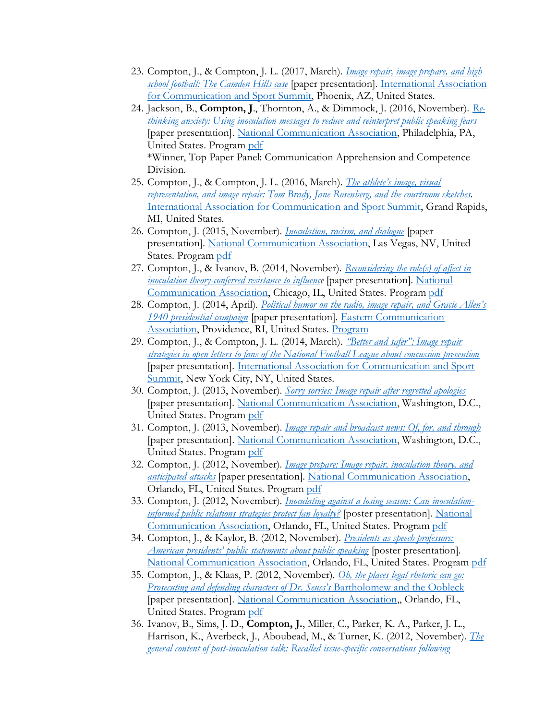- 23. Compton, J., & Compton, J. L. (2017, March). *[Image repair, image prepare, and high](https://sites.dartmouth.edu/jcompton/2017/03/29/image-repair-image-prepare-and-high-school-football-the-camden-hills-case/)  [school football: The Camden Hills case](https://sites.dartmouth.edu/jcompton/2017/03/29/image-repair-image-prepare-and-high-school-football-the-camden-hills-case/)* [paper presentation]. [International Association](https://www.communicationandsport.com/)  [for Communication and Sport Summit,](https://www.communicationandsport.com/) Phoenix, AZ, United States.
- 24. Jackson, B., **Compton, J**., Thornton, A., & Dimmock, J. (2016, November). *[Re](https://sites.dartmouth.edu/jcompton/2016/11/29/re-thinking-anxiety-using-inoculation-messages-to-reduce-and-reinterpret-public-speaking-fears/)[thinking anxiety: Using inoculation messages to reduce and reinterpret public speaking fears](https://sites.dartmouth.edu/jcompton/2016/11/29/re-thinking-anxiety-using-inoculation-messages-to-reduce-and-reinterpret-public-speaking-fears/)* [paper presentation]. [National Communication Association,](https://www.natcom.org/nca-102nd-annual-convention-communication’s-civic-callings) Philadelphia, PA, United States. Program [pdf](https://www.natcom.org/sites/default/files/annual-convention/NCA_Convention_Archives_2016_Program.pdf) \*Winner, Top Paper Panel: Communication Apprehension and Competence Division.
- 25. Compton, J., & Compton, J. L. (2016, March). *[The athlete's image, visual](https://sites.dartmouth.edu/jcompton/2016/03/30/the-athletes-image-visual-representation-and-image-repair-tom-brady-jane-rosenberg-and-the-courtroom-sketches/)  [representation, and image repair: Tom Brady, Jane Rosenberg, and the courtroom sketches.](https://sites.dartmouth.edu/jcompton/2016/03/30/the-athletes-image-visual-representation-and-image-repair-tom-brady-jane-rosenberg-and-the-courtroom-sketches/)* [International Association for Communication and Sport Summit,](https://www.communicationandsport.com/) Grand Rapids, MI, United States.
- 26. Compton, J. (2015, November). *[Inoculation, racism, and dialogue](https://sites.dartmouth.edu/jcompton/2015/11/30/inoculation-racism-and-dialogue/)* [paper presentation]. [National Communication Association,](https://www.natcom.org/press-room/national-communication-association-hold-101st-annual-convention) Las Vegas, NV, United States. Program [pdf](https://www.natcom.org/sites/default/files/annual-convention/NCA_Convention_Archives_2015_Program.pdf)
- 27. Compton, J., & Ivanov, B. (2014, November). *[Reconsidering the role\(s\) of affect in](https://sites.dartmouth.edu/jcompton/2014/11/30/reconsidering-the-roles-of-affect-in-inoculation-theory-conferred-resistance-to-influence/)  [inoculation theory-conferred resistance to influence](https://sites.dartmouth.edu/jcompton/2014/11/30/reconsidering-the-roles-of-affect-in-inoculation-theory-conferred-resistance-to-influence/)* [paper presentation]. [National](https://www.natcom.org/convention-events/convention-resources/archives-historical-information/centennial-convention)  [Communication Association,](https://www.natcom.org/convention-events/convention-resources/archives-historical-information/centennial-convention) Chicago, IL, United States. Program [pdf](https://www.natcom.org/sites/default/files/annual-convention/NCA_Convention_Archives_2014_Program.pdf)
- 28. Compton, J. (2014, April). *[Political humor on the radio, image repair, and Gracie Allen's](https://sites.dartmouth.edu/jcompton/2014/04/30/political-humor-on-the-radio-image-repair-and-gracie-allens-1940-presidential-campaign-2/)  [1940 presidential campaign](https://sites.dartmouth.edu/jcompton/2014/04/30/political-humor-on-the-radio-image-repair-and-gracie-allens-1940-presidential-campaign-2/)* [paper presentation]. [Eastern Communication](https://www.ecasite.org/aws/ECA/pt/sp/home_page)  [Association,](https://www.ecasite.org/aws/ECA/pt/sp/home_page) Providence, RI, United States. [Program](https://www.ecasite.org/aws/ECA/asset_manager/get_file/77713)
- 29. Compton, J., & Compton, J. L. (2014, March). *["Better and safer": Image repair](https://sites.dartmouth.edu/jcompton/2014/03/30/better-and-safer-image-repair-strategies-in-open-letters-to-fans-of-the-national-football-league-about-concussion-prevention/)  [strategies in open letters to fans of the National Football League about concussion prevention](https://sites.dartmouth.edu/jcompton/2014/03/30/better-and-safer-image-repair-strategies-in-open-letters-to-fans-of-the-national-football-league-about-concussion-prevention/)* [paper presentation]*.* [International Association for Communication and Sport](https://www.communicationandsport.com/)  [Summit,](https://www.communicationandsport.com/) New York City, NY, United States.
- 30. Compton, J. (2013, November). *[Sorry sorries: Image repair after regretted apologies](https://sites.dartmouth.edu/jcompton/2013/11/30/sorry-sorries-2/)* [paper presentation]*.* [National Communication Association,](https://www.natcom.org/) Washington, D.C., United States. Program [pdf](https://www.natcom.org/sites/default/files/annual-convention/NCA_Convention_Archives_2013_Program.pdf)
- 31. Compton, J. (2013, November). *[Image repair and broadcast news: Of, for, and through](https://sites.dartmouth.edu/jcompton/2013/11/13/image-repair-and-broadcast-news-of-for-and-through/)* [paper presentation]. [National Communication Association,](https://www.natcom.org/) Washington, D.C., United States. Program [pdf](https://www.natcom.org/sites/default/files/annual-convention/NCA_Convention_Archives_2013_Program.pdf)
- 32. Compton, J. (2012, November). *[Image prepare: Image repair, inoculation theory, and](https://sites.dartmouth.edu/jcompton/2012/11/30/image-prepare-image-repair-inoculation-theory-and-anticipated-attacks/)  [anticipated attacks](https://sites.dartmouth.edu/jcompton/2012/11/30/image-prepare-image-repair-inoculation-theory-and-anticipated-attacks/)* [paper presentation]. [National Communication Association,](https://www.natcom.org/) Orlando, FL, United States. Program [pdf](https://www.natcom.org/sites/default/files/annual-convention/NCA_Convention_Archives_2012_Program.pdf)
- 33. Compton, J. (2012, November). *[Inoculating against a losing season: Can inoculation](https://sites.dartmouth.edu/jcompton/2012/11/30/inoculating-against-a-losing-season-2/)[informed public relations strategies protect fan loyalty?](https://sites.dartmouth.edu/jcompton/2012/11/30/inoculating-against-a-losing-season-2/)* [poster presentation]. [National](https://www.natcom.org/)  [Communication Association,](https://www.natcom.org/) Orlando, FL, United States. Program [pdf](https://www.natcom.org/sites/default/files/annual-convention/NCA_Convention_Archives_2012_Program.pdf)
- 34. Compton, J., & Kaylor, B. (2012, November). *[Presidents as speech professors:](https://sites.dartmouth.edu/jcompton/2012/11/30/presidents-as-speech-professors-american-presidents-public-statements-about-public-speaking/)  [American presidents' public statements about public speaking](https://sites.dartmouth.edu/jcompton/2012/11/30/presidents-as-speech-professors-american-presidents-public-statements-about-public-speaking/)* [poster presentation]. [National Communication Association,](https://www.natcom.org/) Orlando, FL, United States. Program [pdf](https://www.natcom.org/sites/default/files/annual-convention/NCA_Convention_Archives_2012_Program.pdf)
- 35. Compton, J., & Klaas, P. (2012, November). *[Oh, the places legal rhetoric can go:](https://sites.dartmouth.edu/jcompton/2012/11/30/oh-the-places-legal-rhetoric-can-go-prosecuting-and-defending-characters-of-dr-seusss-bartholomew-and-the-oobleck/)  [Prosecuting and defending characters of Dr. Seuss's](https://sites.dartmouth.edu/jcompton/2012/11/30/oh-the-places-legal-rhetoric-can-go-prosecuting-and-defending-characters-of-dr-seusss-bartholomew-and-the-oobleck/)* Bartholomew and the Oobleck [paper presentation]. [National Communication Association,](https://www.natcom.org/), Orlando, FL, United States. Program [pdf](https://www.natcom.org/sites/default/files/annual-convention/NCA_Convention_Archives_2012_Program.pdf)
- 36. Ivanov, B., Sims, J. D., **Compton, J.**, Miller, C., Parker, K. A., Parker, J. L., Harrison, K., Averbeck, J., Aboubead, M., & Turner, K. (2012, November). *[The](https://sites.dartmouth.edu/jcompton/2012/11/30/the-general-content-of-post-inoculation-talk-recalled-issue-specific-conversations-following-inoculation-treatments/)  [general content of post-inoculation talk: Recalled issue-specific conversations following](https://sites.dartmouth.edu/jcompton/2012/11/30/the-general-content-of-post-inoculation-talk-recalled-issue-specific-conversations-following-inoculation-treatments/)*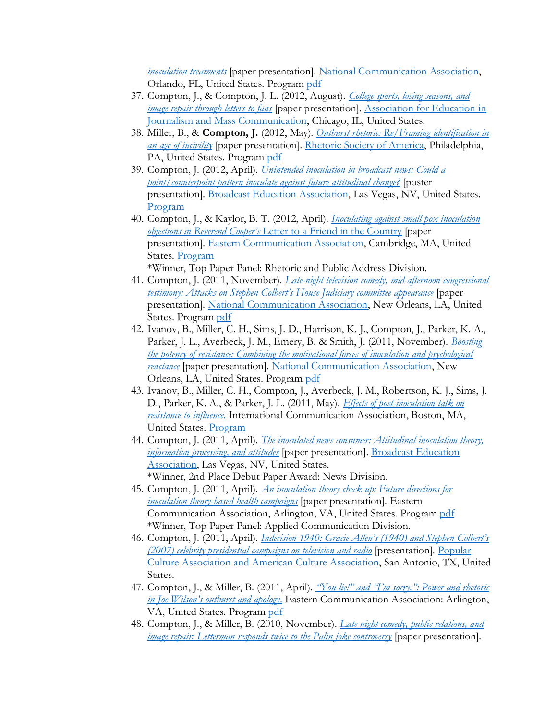*[inoculation treatments](https://sites.dartmouth.edu/jcompton/2012/11/30/the-general-content-of-post-inoculation-talk-recalled-issue-specific-conversations-following-inoculation-treatments/)* [paper presentation]. [National Communication Association,](https://www.natcom.org/) Orlando, FL, United States. Program [pdf](https://www.natcom.org/sites/default/files/annual-convention/NCA_Convention_Archives_2012_Program.pdf)

- 37. Compton, J., & Compton, J. L. (2012, August). *College sports, [losing seasons, and](https://sites.dartmouth.edu/jcompton/2012/08/30/college-sports-losing-seasons-and-image-repair-through-letters-to-fans/)  [image repair through letters to fans](https://sites.dartmouth.edu/jcompton/2012/08/30/college-sports-losing-seasons-and-image-repair-through-letters-to-fans/)* [paper presentation]*.* [Association for Education in](https://www.aejmc.org/home/)  [Journalism and Mass Communication,](https://www.aejmc.org/home/) Chicago, IL, United States.
- 38. Miller, B., & **Compton, J.** (2012, May). *[Outburst rhetoric: Re/Framing identification in](https://sites.dartmouth.edu/jcompton/2012/05/15/outburst-rhetoric-re-framing-identification-in-an-age-of-incivility/)  [an age of incivility](https://sites.dartmouth.edu/jcompton/2012/05/15/outburst-rhetoric-re-framing-identification-in-an-age-of-incivility/)* [paper presentation]. [Rhetoric Society of America,](https://www.rhetoricsociety.org/aws/RSA/pt/sp/home_page) Philadelphia, PA, United States. Program [pdf](https://www.rhetoricsociety.org/aws/RSA/asset_manager/get_file/48027)
- 39. Compton, J. (2012, April). *[Unintended inoculation in broadcast news: Could a](https://sites.dartmouth.edu/jcompton/2012/04/30/unintended-inoculation-in-broadcast-news-could-a-point-counterpoint-pattern-inoculate-against-future-attitudinal-change/)  [point/counterpoint pattern inoculate against future attitudinal change?](https://sites.dartmouth.edu/jcompton/2012/04/30/unintended-inoculation-in-broadcast-news-could-a-point-counterpoint-pattern-inoculate-against-future-attitudinal-change/)* [poster presentation]. [Broadcast Education Association,](https://bea2012.sched.com/) Las Vegas, NV, United States. [Program](https://bea2012.sched.com/)
- 40. Compton, J., & Kaylor, B. T. (2012, April). *[Inoculating against small pox inoculation](https://sites.dartmouth.edu/jcompton/2012/04/30/inoculating-against-small-pox-inoculation-objections-in-reverend-coopers-letter-to-a-friend-in-the-country/)  objections in Reverend Cooper's* [Letter to a Friend in the Country](https://sites.dartmouth.edu/jcompton/2012/04/30/inoculating-against-small-pox-inoculation-objections-in-reverend-coopers-letter-to-a-friend-in-the-country/) [paper presentation]. [Eastern Communication Association,](https://www.ecasite.org/aws/ECA/pt/sp/Home_Page) Cambridge, MA, United States. [Program](https://www.ecasite.org/aws/ECA/asset_manager/get_file/44133) \*Winner, Top Paper Panel: Rhetoric and Public Address Division.
- 41. Compton, J. (2011, November). *[Late-night television comedy, mid-afternoon congressional](https://sites.dartmouth.edu/jcompton/2011/11/30/late-night-television-comedy-mid-afternoon-congressional-testimony-attacks-on-stephen-colberts-house-judiciary-committee-appearance/)  [testimony: Attacks on Stephen Colbert's House Judiciary committee appearance](https://sites.dartmouth.edu/jcompton/2011/11/30/late-night-television-comedy-mid-afternoon-congressional-testimony-attacks-on-stephen-colberts-house-judiciary-committee-appearance/)* [paper presentation]. [National Communication Association,](https://www.natcom.org/) New Orleans, LA, United States. Program [pdf](https://www.natcom.org/sites/default/files/annual-convention/NCA_Convention_Archives_2011_Program.pdf)
- 42. Ivanov, B., Miller, C. H., Sims, J. D., Harrison, K. J., Compton, J., Parker, K. A., Parker, J. L., Averbeck, J. M., Emery, B. & Smith, J. (2011, November). *[Boosting](https://sites.dartmouth.edu/jcompton/2011/11/30/boosting-the-potency-of-resistance-combining-the-motivational-forces-of-inoculation-and-psychological-reactance/)  [the potency of resistance: Combining the motivational forces of inoculation and psychological](https://sites.dartmouth.edu/jcompton/2011/11/30/boosting-the-potency-of-resistance-combining-the-motivational-forces-of-inoculation-and-psychological-reactance/)  [reactance](https://sites.dartmouth.edu/jcompton/2011/11/30/boosting-the-potency-of-resistance-combining-the-motivational-forces-of-inoculation-and-psychological-reactance/)* [paper presentation]. [National Communication Association,](https://www.natcom.org/) New Orleans, LA, United States. Program [pdf](https://www.natcom.org/sites/default/files/annual-convention/NCA_Convention_Archives_2011_Program.pdf)
- 43. Ivanov, B., Miller, C. H., Compton, J., Averbeck, J. M., Robertson, K. J., Sims, J. D., Parker, K. A., & Parker, J. L. (2011, May). *[Effects of post-inoculation talk on](https://sites.dartmouth.edu/jcompton/2011/05/30/effects-of-post-inoculation-talk-on-resistance-to-influence-2/)  [resistance to influence](https://sites.dartmouth.edu/jcompton/2011/05/30/effects-of-post-inoculation-talk-on-resistance-to-influence-2/)*. International Communication Association, Boston, MA, United States. [Program](https://convention2.allacademic.com/one/ica/ica11/)
- 44. Compton, J. (2011, April). *[The inoculated news consumer: Attitudinal inoculation theory,](https://sites.dartmouth.edu/jcompton/2011/04/30/the-inoculated-news-consumer-attitudinal-inoculation-theory-information-processing-and-attitudes/)  [information processing, and attitudes](https://sites.dartmouth.edu/jcompton/2011/04/30/the-inoculated-news-consumer-attitudinal-inoculation-theory-information-processing-and-attitudes/)* [paper presentation]. [Broadcast Education](https://bea2012.sched.com/)  [Association,](https://bea2012.sched.com/) Las Vegas, NV, United States. \*Winner, 2nd Place Debut Paper Award: News Division.
- 45. Compton, J. (2011, April). *[An inoculation theory check-up: Future directions for](https://sites.dartmouth.edu/jcompton/2011/04/30/an-inoculation-theory-check-up-future-directions-for-inoculation-theory-based-health-campaigns/)  [inoculation theory-based health campaigns](https://sites.dartmouth.edu/jcompton/2011/04/30/an-inoculation-theory-check-up-future-directions-for-inoculation-theory-based-health-campaigns/)* [paper presentation]*.* Eastern Communication Association, Arlington, VA, United States. Program [pdf](https://www.ecasite.org/aws/ECA/asset_manager/get_file/31604) \*Winner, Top Paper Panel: Applied Communication Division.
- 46. Compton, J. (2011, April). *[Indecision 1940: Gracie Allen's \(1940\) and Stephen Colbert's](https://sites.dartmouth.edu/jcompton/2011/04/30/indecision-1940-gracie-allens-1940-and-stephen-colberts-2007-celebrity-presidential-campaigns-on-television-and-radio/)  [\(2007\) celebrity presidential campaigns on television and radio](https://sites.dartmouth.edu/jcompton/2011/04/30/indecision-1940-gracie-allens-1940-and-stephen-colberts-2007-celebrity-presidential-campaigns-on-television-and-radio/)* [presentation]. [Popular](https://pcaaca.org/)  Culture Association [and American Culture Association,](https://pcaaca.org/) San Antonio, TX, United States.
- 47. Compton, J., & Miller, B. (2011, April). *["You lie!" and "I'm sorry.": Power and rhetoric](https://sites.dartmouth.edu/jcompton/2011/04/30/you-lie-and-im-sorry-power-and-rhetoric-in-joe-wilsons-outburst-and-apology/)  [in Joe Wilson's outburst and apology](https://sites.dartmouth.edu/jcompton/2011/04/30/you-lie-and-im-sorry-power-and-rhetoric-in-joe-wilsons-outburst-and-apology/)*. Eastern Communication Association: Arlington, VA, United States. Progra[m pdf](https://www.ecasite.org/aws/ECA/asset_manager/get_file/31604)
- 48. Compton, J., & Miller, B. (2010, November). *[Late night comedy, public relations, and](https://sites.dartmouth.edu/jcompton/2010/11/30/late-night-comedy-public-relations-and-image-repair-letterman-responds-twice-to-the-palin-joke-controversy/)  [image repair: Letterman responds twice to the Palin joke controversy](https://sites.dartmouth.edu/jcompton/2010/11/30/late-night-comedy-public-relations-and-image-repair-letterman-responds-twice-to-the-palin-joke-controversy/)* [paper presentation]*.*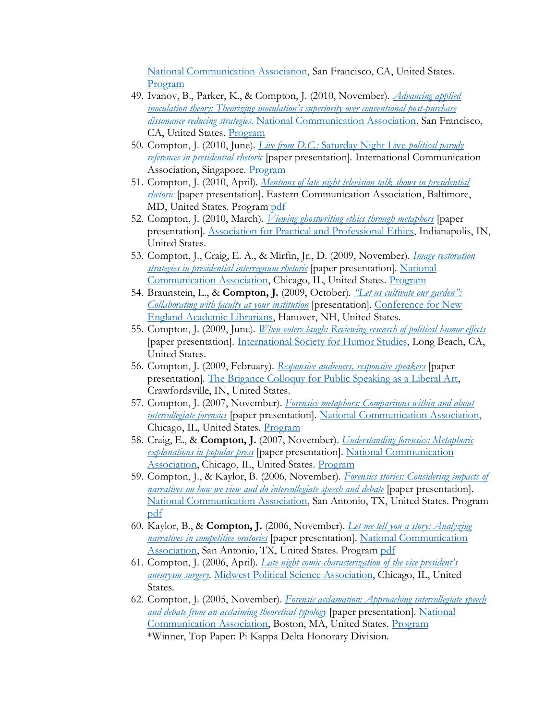[National Communication Association,](https://www.natcom.org/) San Francisco, CA, United States. [Program](https://convention2.allacademic.com/one/nca/nca10/)

- 49. Ivanov, B., Parker, K., & Compton, J. (2010, November). *[Advancing applied](https://sites.dartmouth.edu/jcompton/2010/11/30/advancing-applied-inoculation-theory-theorizing-inoculations-superiority-over-conventional-post-purchase-dissonance-reducing-strategies/)  [inoculation theory: Theorizing inoculation's superiority over conventional post](https://sites.dartmouth.edu/jcompton/2010/11/30/advancing-applied-inoculation-theory-theorizing-inoculations-superiority-over-conventional-post-purchase-dissonance-reducing-strategies/)-purchase [dissonance reducing strategies](https://sites.dartmouth.edu/jcompton/2010/11/30/advancing-applied-inoculation-theory-theorizing-inoculations-superiority-over-conventional-post-purchase-dissonance-reducing-strategies/)*. [National Communication Association,](https://www.natcom.org/) San Francisco, CA, United States. [Program](https://convention2.allacademic.com/one/nca/nca10/)
- 50. Compton, J. (2010, June). *Live from D.C.:* [Saturday Night Live](https://sites.dartmouth.edu/jcompton/2010/06/30/live-from-d-c-saturday-night-live-political-parody-references-in-presidential-rhetoric/) *political parody [references in presidential rhetoric](https://sites.dartmouth.edu/jcompton/2010/06/30/live-from-d-c-saturday-night-live-political-parody-references-in-presidential-rhetoric/)* [paper presentation]*.* International Communication Association, Singapore. [Program](https://convention2.allacademic.com/one/ica/ica10/)
- 51. Compton, J. (2010, April). *[Mentions of late night television talk shows in presidential](https://sites.dartmouth.edu/jcompton/2010/04/30/mentions-of-late-night-television-talk-shows-in-presidential-rhetoric/)  [rhetoric](https://sites.dartmouth.edu/jcompton/2010/04/30/mentions-of-late-night-television-talk-shows-in-presidential-rhetoric/)* [paper presentation]*.* Eastern Communication Association, Baltimore, MD, United States. Progra[m pdf](https://www.ecasite.org/aws/ECA/asset_manager/get_file/16040)
- 52. Compton, J. (2010, March). *[Viewing ghostwriting ethics through metaphors](https://sites.dartmouth.edu/jcompton/2010/03/30/viewing-ghostwriting-ethics-through-metaphors/)* [paper presentation]. [Association for Practical and Professional Ethics,](https://www.appe-ethics.org/) Indianapolis, IN, United States.
- 53. Compton, J., Craig, E. A., & Mirfin, Jr., D. (2009, November). *[Image restoration](https://sites.dartmouth.edu/jcompton/2009/11/30/image-restoration-strategies-in-presidential-interregnum-rhetoric/)  [strategies in presidential interregnum rhetoric](https://sites.dartmouth.edu/jcompton/2009/11/30/image-restoration-strategies-in-presidential-interregnum-rhetoric/)* [paper presentation]. [National](https://www.natcom.org/)  [Communication Association,](https://www.natcom.org/) Chicago, IL, United States. [Program](https://convention2.allacademic.com/one/nca/nca09/)
- 54. Braunstein, L., & **Compton, J.** (2009, October). *["Let us cultivate our garden":](https://sites.dartmouth.edu/jcompton/2009/10/30/let-us-cultivate-our-garden-collaborating-with-faculty-at-your-institution/)  [Collaborating with faculty at your institution](https://sites.dartmouth.edu/jcompton/2009/10/30/let-us-cultivate-our-garden-collaborating-with-faculty-at-your-institution/)* [presentation]*.* [Conference for New](https://acrlnec.org/)  [England Academic Librarians,](https://acrlnec.org/) Hanover, NH, United States.
- 55. Compton, J. (2009, June). *[When voters laugh: Reviewing research of political humor effects](https://sites.dartmouth.edu/jcompton/2009/06/30/when-voters-laugh-reviewing-research-of-political-humor-effects/)* [paper presentation]*.* [International Society for Humor Studies,](http://www.humorstudies.org/) Long Beach, CA, United States.
- 56. Compton, J. (2009, February). *[Responsive audiences, responsive speakers](https://sites.dartmouth.edu/jcompton/2009/02/11/responsive-audiences-responsive-speakers/)* [paper presentation]*.* [The Brigance Colloquy for Public Speaking as a Liberal Art,](https://www.wabash.edu/news/displaystory.cfm?news_ID=6749) Crawfordsville, IN, United States.
- 57. Compton, J. (2007, November). *[Forensics metaphors: Comparisons within and about](https://sites.dartmouth.edu/jcompton/2007/11/30/forensic-metaphors-comparisons-within-and-about-intercollegiate-forensics/)  [intercollegiate forensics](https://sites.dartmouth.edu/jcompton/2007/11/30/forensic-metaphors-comparisons-within-and-about-intercollegiate-forensics/)* [paper presentation]. [National Communication Association,](https://www.natcom.org/) Chicago, IL, United States. [Program](https://convention2.allacademic.com/one/nca/nca07/)
- 58. Craig, E., & **Compton, J.** (2007, November). *[Understanding forensics: Metaphoric](https://sites.dartmouth.edu/jcompton/2007/11/30/understanding-forensics-metaphoric-explanations-in-popular-press/)  [explanations in popular press](https://sites.dartmouth.edu/jcompton/2007/11/30/understanding-forensics-metaphoric-explanations-in-popular-press/)* [paper presentation]. [National Communication](https://www.natcom.org/)  [Association,](https://www.natcom.org/) Chicago, IL, United States. [Program](https://convention2.allacademic.com/one/nca/nca07/)
- 59. Compton, J., & Kaylor, B. (2006, November). *[Forensics stories: Considering impacts of](https://sites.dartmouth.edu/jcompton/2006/11/30/forensics-stories-considering-impacts-of-narratives-on-how-we-view-and-do-intercollegiate-speech-and-debate/)  [narratives on how we view and do intercollegiate speech and debate](https://sites.dartmouth.edu/jcompton/2006/11/30/forensics-stories-considering-impacts-of-narratives-on-how-we-view-and-do-intercollegiate-speech-and-debate/)* [paper presentation]. [National Communication Association,](https://www.natcom.org/) San Antonio, TX, United States. Program [pdf](https://www.natcom.org/sites/default/files/annual-convention/NCA_Convention_Archives_2006_Program.pdf)
- 60. Kaylor, B., & **Compton, J.** (2006, November). *[Let me tell you a story: Analyzing](https://sites.dartmouth.edu/jcompton/2006/11/30/let-me-tell-you-a-story-analyzing-narratives-in-competitive-oratories/)  [narratives in competitive oratories](https://sites.dartmouth.edu/jcompton/2006/11/30/let-me-tell-you-a-story-analyzing-narratives-in-competitive-oratories/)* [paper presentation]. [National Communication](https://www.natcom.org/)  [Association,](https://www.natcom.org/) San Antonio, TX, United States. Program [pdf](https://www.natcom.org/sites/default/files/annual-convention/NCA_Convention_Archives_2006_Program.pdf)
- 61. Compton, J. (2006, April). *[Late night comic characterization of the vice president's](https://sites.dartmouth.edu/jcompton/2006/04/02/late-night-comic-characterization-of-the-vice-presidents-aneurysm-surgery/)  [aneurysm surgery.](https://sites.dartmouth.edu/jcompton/2006/04/02/late-night-comic-characterization-of-the-vice-presidents-aneurysm-surgery/)* [Midwest Political Science Association,](https://www.mpsanet.org/) Chicago, IL, United States.
- 62. Compton, J. (2005, November). *[Forensic acclamation: Approaching intercollegiate speech](https://sites.dartmouth.edu/jcompton/2005/11/30/forensic-acclamation-approaching-intercollegiate-speech-and-debate-from-an-acclaiming-theoretical-typology/)  [and debate from an acclaiming theoretical typology](https://sites.dartmouth.edu/jcompton/2005/11/30/forensic-acclamation-approaching-intercollegiate-speech-and-debate-from-an-acclaiming-theoretical-typology/)* [paper presentation]. [National](https://www.natcom.org/)  [Communication Association,](https://www.natcom.org/) Boston, MA, United States. [Program](https://convention2.allacademic.com/one/nca/nca05/) \*Winner, Top Paper: Pi Kappa Delta Honorary Division.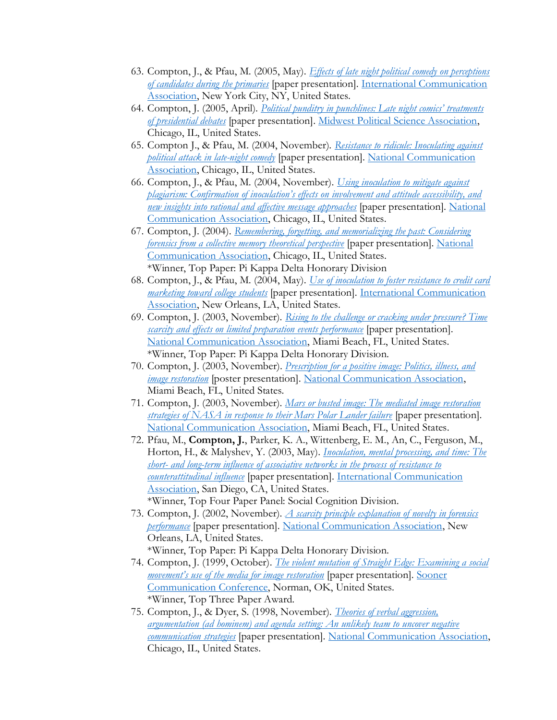- 63. Compton, J., & Pfau, M. (2005, May). *[Effects of late night political comedy on perceptions](https://sites.dartmouth.edu/jcompton/2005/05/30/effects-of-late-night-political-comedy-on-perceptions-of-candidates-during-the-primaries/)  [of candidates during the primaries](https://sites.dartmouth.edu/jcompton/2005/05/30/effects-of-late-night-political-comedy-on-perceptions-of-candidates-during-the-primaries/)* [paper presentation]. [International Communication](https://www.icahdq.org/)  [Association,](https://www.icahdq.org/) New York City, NY, United States.
- 64. Compton, J. (2005, April). *[Political punditry in punchlines: Late night c](https://sites.dartmouth.edu/jcompton/2005/04/30/political-punditry-in-punchlines-late-night-comics-treatments-of-presidential-debates/)omics' treatments [of presidential debates](https://sites.dartmouth.edu/jcompton/2005/04/30/political-punditry-in-punchlines-late-night-comics-treatments-of-presidential-debates/)* [paper presentation][. Midwest Political Science Association,](https://www.mpsanet.org/) Chicago, IL, United States.
- 65. Compton J., & Pfau, M. (2004, November). *[Resistance to ridicule: Inoculating against](https://sites.dartmouth.edu/jcompton/2004/11/30/resistance-to-ridicule-inoculating-against-political-attack-in-late-night-comedy/)  [political attack in late-night comedy](https://sites.dartmouth.edu/jcompton/2004/11/30/resistance-to-ridicule-inoculating-against-political-attack-in-late-night-comedy/)* [paper presentation]. [National Communication](https://www.natcom.org/)  [Association,](https://www.natcom.org/) Chicago, IL, United States.
- 66. Compton, J., & Pfau, M. (2004, November). *[Using inoculation to mitigate against](https://sites.dartmouth.edu/jcompton/2004/11/30/using-inoculation-to-mitigate-against-plagiarism-confirmation-of-inoculations-effects-on-involvement-and-attitude-accessibility-and-new-insights-into-rational-and-affective-message-approach/)  [plagiarism: Confirmation of inoculation's effects on involvement and attitude accessibility, and](https://sites.dartmouth.edu/jcompton/2004/11/30/using-inoculation-to-mitigate-against-plagiarism-confirmation-of-inoculations-effects-on-involvement-and-attitude-accessibility-and-new-insights-into-rational-and-affective-message-approach/)  [new insights into rational and affective message approaches](https://sites.dartmouth.edu/jcompton/2004/11/30/using-inoculation-to-mitigate-against-plagiarism-confirmation-of-inoculations-effects-on-involvement-and-attitude-accessibility-and-new-insights-into-rational-and-affective-message-approach/)* [paper presentation]. [National](https://www.natcom.org/)  [Communication Association,](https://www.natcom.org/) Chicago, IL, United States.
- 67. Compton, J. (2004). *[Remembering, forgetting, and memorializing the past: Considering](https://sites.dartmouth.edu/jcompton/2004/11/30/remembering-forgetting-and-memorializing-the-past-considering-forensics-from-a-collective-memory-theoretical-perspective/)  [forensics from a collective memory theoretical perspective](https://sites.dartmouth.edu/jcompton/2004/11/30/remembering-forgetting-and-memorializing-the-past-considering-forensics-from-a-collective-memory-theoretical-perspective/)* [paper presentation]. [National](https://www.natcom.org/)  [Communication Association,](https://www.natcom.org/) Chicago, IL, United States. \*Winner, Top Paper: Pi Kappa Delta Honorary Division
- 68. Compton, J., & Pfau, M. (2004, May). *[Use of inoculation to foster resistance to credit card](https://sites.dartmouth.edu/jcompton/2004/05/30/use-of-inoculation-to-foster-resistance-to-credit-card-marketing-toward-college-students/)  [marketing toward college students](https://sites.dartmouth.edu/jcompton/2004/05/30/use-of-inoculation-to-foster-resistance-to-credit-card-marketing-toward-college-students/)* [paper presentation]. [International Communication](https://www.icahdq.org/)  [Association,](https://www.icahdq.org/) New Orleans, LA, United States.
- 69. Compton, J. (2003, November). *[Rising to the challenge or cracking under pressure? Time](https://sites.dartmouth.edu/jcompton/2003/11/30/rising-to-the-challenge-or-cracking-under-pressure-time-scarcity-and-effects-on-limited-preparation-events-performance/)  [scarcity and effects on limited preparation events performance](https://sites.dartmouth.edu/jcompton/2003/11/30/rising-to-the-challenge-or-cracking-under-pressure-time-scarcity-and-effects-on-limited-preparation-events-performance/)* [paper presentation]. [National Communication Association,](https://www.natcom.org/) Miami Beach, FL, United States. \*Winner, Top Paper: Pi Kappa Delta Honorary Division.
- 70. Compton, J. (2003, November). *[Prescription for a positive image: Politics, illness, and](https://sites.dartmouth.edu/jcompton/2003/11/30/prescription-for-a-positive-image-politics-illness-and-image-restoration/)  [image restoration](https://sites.dartmouth.edu/jcompton/2003/11/30/prescription-for-a-positive-image-politics-illness-and-image-restoration/)* [poster presentation][. National Communication Association,](https://www.natcom.org/) Miami Beach, FL, United States.
- 71. Compton, J. (2003, November). *[Mars or busted image: The mediated image restoration](https://sites.dartmouth.edu/jcompton/2003/11/30/mars-or-busted-image-the-mediated-image-restoration-strategies-of-nasa-in-response-to-their-mars-polar-lander-failure/)  [strategies of NASA in response to their Mars Polar Lander failure](https://sites.dartmouth.edu/jcompton/2003/11/30/mars-or-busted-image-the-mediated-image-restoration-strategies-of-nasa-in-response-to-their-mars-polar-lander-failure/)* [paper presentation]. [National Communication Association,](https://www.natcom.org/) Miami Beach, FL, United States.
- 72. Pfau, M., **Compton, J.**, Parker, K. A., Wittenberg, E. M., An, C., Ferguson, M., Horton, H., & Malyshev, Y. (2003, May). *[Inoculation, mental processing, and](https://sites.dartmouth.edu/jcompton/2003/05/30/inoculation-mental-processing-and-time-the-short-and-long-term-influence-of-associative-networks-in-the-process-of-resistance-to-counterattitudinal-influence/) time: The short- [and long-term influence of associative networks in the process of resistance to](https://sites.dartmouth.edu/jcompton/2003/05/30/inoculation-mental-processing-and-time-the-short-and-long-term-influence-of-associative-networks-in-the-process-of-resistance-to-counterattitudinal-influence/)  [counterattitudinal influence](https://sites.dartmouth.edu/jcompton/2003/05/30/inoculation-mental-processing-and-time-the-short-and-long-term-influence-of-associative-networks-in-the-process-of-resistance-to-counterattitudinal-influence/)* [paper presentation]. [International Communication](https://www.icahdq.org/)  [Association,](https://www.icahdq.org/) San Diego, CA, United States. \*Winner, Top Four Paper Panel: Social Cognition Division.
- 73. Compton, J. (2002, November). *[A scarcity principle explanation of novelty in forensics](https://sites.dartmouth.edu/jcompton/2002/11/30/a-scarcity-principle-explanation-of-novelty-in-forensics-performance-2/)  [performance](https://sites.dartmouth.edu/jcompton/2002/11/30/a-scarcity-principle-explanation-of-novelty-in-forensics-performance-2/)* [paper presentation]. [National Communication Association,](https://www.natcom.org/) New Orleans, LA, United States. \*Winner, Top Paper: Pi Kappa Delta Honorary Division.
- 74. Compton, J. (1999, October). *[The violent mutation of Straight Edge: Examining a social](https://sites.dartmouth.edu/jcompton/1999/10/30/the-violent-mutation-of-straight-edge-examining-a-social-movements-use-of-the-media-for-image-restoration/)  [movement's use of the med](https://sites.dartmouth.edu/jcompton/1999/10/30/the-violent-mutation-of-straight-edge-examining-a-social-movements-use-of-the-media-for-image-restoration/)ia for image restoration* [paper presentation]. [Sooner](https://www.ou.edu/cas/comm)  [Communication Conference,](https://www.ou.edu/cas/comm) Norman, OK, United States. \*Winner, Top Three Paper Award.
- 75. Compton, J., & Dyer, S. (1998, November). *[Theories of verbal aggression,](https://sites.dartmouth.edu/jcompton/1998/11/30/theories-of-verbal-aggression-argumentation-ad-hominem-and-agenda-setting-an-unlikely-team-to-uncover-negative-communication-strategies/)  [argumentation \(ad hominem\) and agenda setting: An unlikely team to uncover negative](https://sites.dartmouth.edu/jcompton/1998/11/30/theories-of-verbal-aggression-argumentation-ad-hominem-and-agenda-setting-an-unlikely-team-to-uncover-negative-communication-strategies/)  [communication strategies](https://sites.dartmouth.edu/jcompton/1998/11/30/theories-of-verbal-aggression-argumentation-ad-hominem-and-agenda-setting-an-unlikely-team-to-uncover-negative-communication-strategies/)* [paper presentation]. [National Communication Association,](https://www.natcom.org/) Chicago, IL, United States.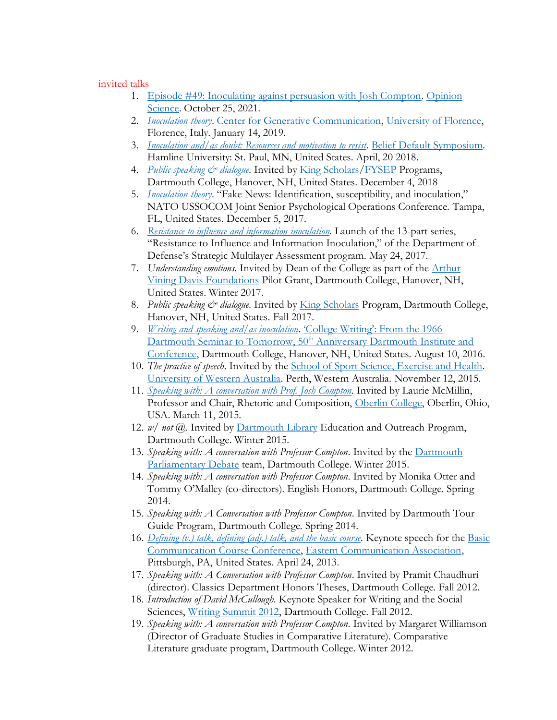#### invited talks

- 1. [Episode #49: Inoculating against persuasion with Josh Compton.](https://opinionscipod.buzzsprout.com/981667/9392627-49-inoculating-against-persuasion-with-josh-compton) [Opinion](https://opinionscipod.buzzsprout.com/)  [Science.](https://opinionscipod.buzzsprout.com/) October 25, 2021.
- 2. *[Inoculation theory](https://sites.dartmouth.edu/jcompton/2019/01/14/inoculation-theory/)*. [Center for Generative Communication,](https://www.cfgc.unifi.it/eng/) [University of Florence,](https://www.unifi.it/) Florence, Italy. January 14, 2019.
- 3. *[Inoculation and/as doubt: Resources and motivation to resist](https://sites.dartmouth.edu/jcompton/2018/04/20/inoculation-and-as-doubt-resources-and-motivation-to-resist/)*. [Belief Default Symposium.](https://erikwasp.com/belief-default-symposium/) Hamline University: St. Paul, MN, United States. April, 20 2018.
- 4. *[Public speaking & dialogue](https://sites.dartmouth.edu/jcompton/2018/12/04/public-speaking-dialogue/)*. Invited by *King Scholars*/*FYSEP* Programs, Dartmouth College, Hanover, NH, United States. December 4, 2018
- 5. *[Inoculation theory](https://sites.dartmouth.edu/jcompton/2017/12/05/inoculation-theory-2/)*. "Fake News: Identification, susceptibility, and inoculation," NATO USSOCOM Joint Senior Psychological Operations Conference. Tampa, FL, United States. December 5, 2017.
- 6. *[Resistance to influence and information](https://sites.dartmouth.edu/jcompton/2017/05/24/resistance-to-influence-and-information-inoculation/) inoculation*. Launch of the 13-part series, "Resistance to Influence and Information Inoculation," of the Department of Defense's Strategic Multilayer Assessment program. May 24, 2017.
- 7. *Understanding emotions*. Invited by Dean of the College as part of the [Arthur](https://www.avdf.org/)  [Vining Davis Foundations](https://www.avdf.org/) Pilot Grant, Dartmouth College, Hanover, NH, United States. Winter 2017.
- 8. Public speaking & dialogue. Invited by **King Scholars Program**, Dartmouth College, Hanover, NH, United States. Fall 2017.
- 9. *[Writing and speaking and/as inoculation](https://sites.dartmouth.edu/jcompton/2016/08/10/50th-anniversary-dartmouth-institute-and-conference-at-dartmouth-college-in-hanover-nh-united-states/)*. ['College Writing': From the 1966](https://dartmouthwritinginstitute.wordpress.com/)  [Dartmouth Seminar to Tomorrow, 50](https://dartmouthwritinginstitute.wordpress.com/)<sup>th</sup> Anniversary Dartmouth Institute and [Conference,](https://dartmouthwritinginstitute.wordpress.com/) Dartmouth College, Hanover, NH, United States. August 10, 2016.
- 10. *The practice of speech*. Invited by th[e School of Sport Science, Exercise and](https://www.uwa.edu.au/study/courses/sport-science) Health. University [of Western Australia.](https://www.uwa.edu.au/) Perth, Western Australia. November 12, 2015.
- 11. *[Speaking with: A conversation with Prof. Josh Compton](https://sites.dartmouth.edu/jcompton/2015/03/11/oberlin-college-in-oberlin-oh-united-states/)*. Invited by Laurie McMillin, Professor and Chair, Rhetoric and Composition, [Oberlin College,](https://www.oberlin.edu/) Oberlin, Ohio, USA. March 11, 2015.
- 12. *w/ not @.* Invited b[y Dartmouth Library](https://www.library.dartmouth.edu/) Education and Outreach Program, Dartmouth College. Winter 2015.
- 13. *Speaking with: A conversation with Professor Compton*. Invited by the [Dartmouth](https://sites.dartmouth.edu/parli/)  [Parliamentary Debate](https://sites.dartmouth.edu/parli/) team, Dartmouth College. Winter 2015.
- 14. *Speaking with: A conversation with Professor Compton*. Invited by Monika Otter and Tommy O'Malley (co-directors). English Honors, Dartmouth College. Spring 2014.
- 15. *Speaking with: A Conversation with Professor Compton*. Invited by Dartmouth Tour Guide Program, Dartmouth College. Spring 2014.
- 16. *[Defining \(v.\) talk, defining \(adj.\) talk, and the basic course.](https://sites.dartmouth.edu/jcompton/2013/04/24/keynote-basic-communication-course-conference-eastern-communication-association-in-pittsburgh-pa-united-states/)* Keynote speech for the [Basic](https://www.ecasite.org/aws/ECA/asset_manager/get_file/61716) [Communication Course Conference,](https://www.ecasite.org/aws/ECA/asset_manager/get_file/61716) [Eastern Communication Association,](https://www.ecasite.org/aws/ECA/pt/sp/Home_Page) Pittsburgh, PA, United States. April 24, 2013.
- 17. *Speaking with: A Conversation with Professor Compton*. Invited by Pramit Chaudhuri (director). Classics Department Honors Theses, Dartmouth College. Fall 2012.
- 18. *Introduction of David McCullough*. Keynote Speaker for Writing and the Social Sciences, [Writing Summit 2012,](https://home.dartmouth.edu/news/2012/09/writing-summit-showcases-prominent-scholars-campus-october-2-and-3) Dartmouth College. Fall 2012.
- 19. *Speaking with: A conversation with Professor Compton*. Invited by Margaret Williamson (Director of Graduate Studies in Comparative Literature). Comparative Literature graduate program, Dartmouth College. Winter 2012.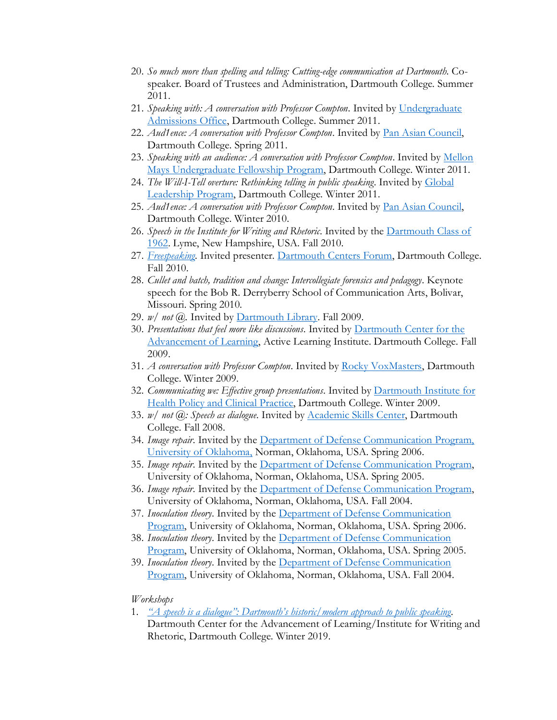- 20. *So much more than spelling and telling: Cutting-edge communication at Dartmouth.* Cospeaker. Board of Trustees and Administration, Dartmouth College. Summer 2011.
- 21. *Speaking with: A conversation with Professor Compton*. Invited by [Undergraduate](https://home.dartmouth.edu/admissions)  [Admissions Office,](https://home.dartmouth.edu/admissions) Dartmouth College. Summer 2011.
- 22. *Aud1ence: A conversation with Professor Compton*. Invited by [Pan Asian Council,](https://dartmouthpac-blog.tumblr.com/page/2) Dartmouth College. Spring 2011.
- 23. *Speaking with an audience: A conversation with Professor Compton*. Invited by [Mellon](https://www.mmuf.org/)  [Mays Undergraduate Fellowship Program,](https://www.mmuf.org/) Dartmouth College. Winter 2011.
- 24. *The Will-I-Tell overture: Rethinking telling in public speaking*. Invited by [Global](https://rockefeller.dartmouth.edu/leadership/rockefeller-global-leadership-program)  [Leadership Program,](https://rockefeller.dartmouth.edu/leadership/rockefeller-global-leadership-program) Dartmouth College. Winter 2011.
- 25. *Aud1ence: A conversation with Professor Compton*. Invited by [Pan Asian Council,](https://dartmouthpac-blog.tumblr.com/page/2) Dartmouth College. Winter 2010.
- 26. *Speech in the Institute for Writing and Rhetoric*. Invited by the [Dartmouth Class of](https://1962.dartmouth.org/s/1353/clubs-classes15/start.aspx?gid=315&pgid=61)  [1962.](https://1962.dartmouth.org/s/1353/clubs-classes15/start.aspx?gid=315&pgid=61) Lyme, New Hampshire, USA. Fall 2010.
- 27. *[Freespeaking](https://www.dartmouth.edu/centersforum/past/speakout-listenup_past.html)*. Invited presenter. [Dartmouth Centers Forum,](https://www.dartmouth.edu/centersforum/) Dartmouth College. Fall 2010.
- 28. *Cullet and batch, tradition and change: Intercollegiate forensics and pedagogy*. Keynote speech for the Bob R. Derryberry School of Communication Arts, Bolivar, Missouri. Spring 2010.
- 29. *w/ not @.* Invited b[y Dartmouth Library.](https://www.library.dartmouth.edu/) Fall 2009.
- 30. *Presentations that feel more like discussions*. Invited by [Dartmouth Center for the](https://dcal.dartmouth.edu/)  [Advancement of Learning,](https://dcal.dartmouth.edu/) Active Learning Institute. Dartmouth College. Fall 2009.
- 31. *A conversation with Professor Compton*. Invited by [Rocky VoxMasters,](https://rockefeller.dartmouth.edu/students/work-center/voxmasters) Dartmouth College. Winter 2009.
- 32. *Communicating we: Effective group presentations*. Invited by [Dartmouth Institute for](https://tdi.dartmouth.edu/)  [Health Policy and Clinical Practice,](https://tdi.dartmouth.edu/) Dartmouth College. Winter 2009.
- 33. *w/ not @: Speech as dialogue*. Invited b[y Academic Skills Center,](https://students.dartmouth.edu/academic-skills/) Dartmouth College. Fall 2008.
- 34. *Image repair*. Invited by the [Department of Defense Communication Program,](https://www.ou.edu/deptcomm/dodjcc/contact.htm)  [University of Oklahoma,](https://www.ou.edu/deptcomm/dodjcc/contact.htm) Norman, Oklahoma, USA. Spring 2006.
- 35. *Image repair*. Invited by the [Department of Defense Communication Program,](https://www.ou.edu/deptcomm/dodjcc/contact.htm) University of Oklahoma, Norman, Oklahoma, USA. Spring 2005.
- 36. *Image repair*. Invited by the [Department of Defense Communication Program,](https://www.ou.edu/deptcomm/dodjcc/contact.htm) University of Oklahoma, Norman, Oklahoma, USA. Fall 2004.
- 37. *Inoculation theory*. Invited by the [Department of Defense Communication](https://www.ou.edu/deptcomm/dodjcc/contact.htm)  [Program,](https://www.ou.edu/deptcomm/dodjcc/contact.htm) University of Oklahoma, Norman, Oklahoma, USA. Spring 2006.
- 38. *Inoculation theory*. Invited by the [Department of Defense Communication](https://www.ou.edu/deptcomm/dodjcc/contact.htm)  [Program,](https://www.ou.edu/deptcomm/dodjcc/contact.htm) University of Oklahoma, Norman, Oklahoma, USA. Spring 2005.
- 39. *Inoculation theory*. Invited by the [Department of Defense Communication](https://www.ou.edu/deptcomm/dodjcc/contact.htm)  [Program,](https://www.ou.edu/deptcomm/dodjcc/contact.htm) University of Oklahoma, Norman, Oklahoma, USA. Fall 2004.

#### *Workshops*

1. *["A speech is a dialogue": Dartmouth's historic/modern approach to public speaking](https://writing-speech.dartmouth.edu/news/2019/02/faculty-workshop-speech-dialogue).* Dartmouth Center for the Advancement of Learning/Institute for Writing and Rhetoric, Dartmouth College. Winter 2019.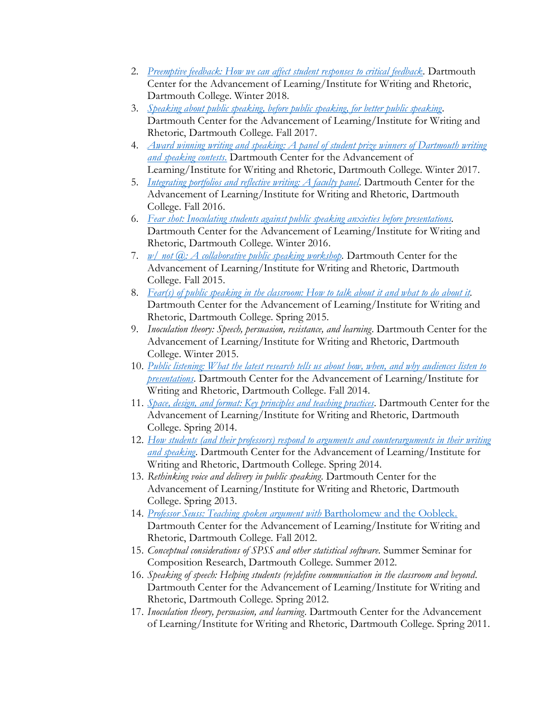- 2. *[Preemptive feedback: How we can affect student responses to critical feedback.](https://dcal.dartmouth.edu/sites/dcal.prod/files/center_for_advancement_learning/wysiwyg/winter_2018_teaching-learning_calendar.pdf)* Dartmouth Center for the Advancement of Learning/Institute for Writing and Rhetoric, Dartmouth College. Winter 2018.
- 3. *[Speaking about public speaking, before public speaking, for better public speaking](https://dcal.dartmouth.edu/sites/dcal.prod/files/center_for_advancement_learning/wysiwyg/t-l_calendar_f17_1.pdf)*. Dartmouth Center for the Advancement of Learning/Institute for Writing and Rhetoric, Dartmouth College. Fall 2017.
- 4. *[Award winning writing and speaking: A panel of student prize winners of Dartmouth writing](https://home.dartmouth.edu/events/event?event=42588)  [and speaking contests](https://home.dartmouth.edu/events/event?event=42588)*. Dartmouth Center for the Advancement of Learning/Institute for Writing and Rhetoric, Dartmouth College. Winter 2017.
- 5. *[Integrating portfolios and reflective writing: A faculty panel](https://writing-speech.dartmouth.edu/news-people/past-events)*. Dartmouth Center for the Advancement of Learning/Institute for Writing and Rhetoric, Dartmouth College. Fall 2016.
- 6. *[Fear shot: Inoculating students against public speaking anxieties before presentations.](https://writing-speech.dartmouth.edu/news-people/past-events)*  Dartmouth Center for the Advancement of Learning/Institute for Writing and Rhetoric, Dartmouth College. Winter 2016.
- 7. *w/ not*  $\overline{a}$ *: A collaborative public speaking workshop.* Dartmouth Center for the Advancement of Learning/Institute for Writing and Rhetoric, Dartmouth College. Fall 2015.
- 8. *[Fear\(s\) of public speaking in the classroom: How to talk about it and what to do about it.](https://listserv.dartmouth.edu/scripts/wa.exe?A3=ind1504b&L=DCAL-GROUP-LIST&E=quoted-printable&P=3608&B=--_000_479EC1AF1C8E4EA8AA2B9090291C41F3dartmouthedu_&T=text%2Fhtml;%20charset=utf-8)* Dartmouth Center for the Advancement of Learning/Institute for Writing and Rhetoric, Dartmouth College. Spring 2015.
- 9. *Inoculation theory: Speech, persuasion, resistance, and learning*. Dartmouth Center for the Advancement of Learning/Institute for Writing and Rhetoric, Dartmouth College. Winter 2015.
- 10. *[Public listening: What the latest research tells us about how, when, and why audiences listen to](https://writing-speech.dartmouth.edu/news-people/past-events)  [presentations](https://writing-speech.dartmouth.edu/news-people/past-events)*. Dartmouth Center for the Advancement of Learning/Institute for Writing and Rhetoric, Dartmouth College. Fall 2014.
- 11. *[Space, design, and format: Key principles and teaching practices.](https://writing-speech.dartmouth.edu/news-people/past-events)* Dartmouth Center for the Advancement of Learning/Institute for Writing and Rhetoric, Dartmouth College. Spring 2014.
- 12. *[How students \(and their professors\) respond to arguments and counterarguments in their writing](https://listserv.dartmouth.edu/scripts/wa.exe?A2=DCAL-GROUP-LIST;7bd494dc.1401C)  [and speaking](https://listserv.dartmouth.edu/scripts/wa.exe?A2=DCAL-GROUP-LIST;7bd494dc.1401C)*. Dartmouth Center for the Advancement of Learning/Institute for Writing and Rhetoric, Dartmouth College. Spring 2014.
- 13. *Rethinking voice and delivery in public speaking*. Dartmouth Center for the Advancement of Learning/Institute for Writing and Rhetoric, Dartmouth College. Spring 2013.
- 14. *[Professor Seuss: Teaching spoken argument with](https://dcalblog.wordpress.com/2012/10/27/teaching-with-unconventional-texts/)* Bartholomew and the Oobleck. Dartmouth Center for the Advancement of Learning/Institute for Writing and Rhetoric, Dartmouth College. Fall 2012.
- 15. *Conceptual considerations of SPSS and other statistical software*. Summer Seminar for Composition Research, Dartmouth College. Summer 2012.
- 16. *Speaking of speech: Helping students (re)define communication in the classroom and beyond*. Dartmouth Center for the Advancement of Learning/Institute for Writing and Rhetoric, Dartmouth College. Spring 2012.
- 17. *Inoculation theory, persuasion, and learning*. Dartmouth Center for the Advancement of Learning/Institute for Writing and Rhetoric, Dartmouth College. Spring 2011.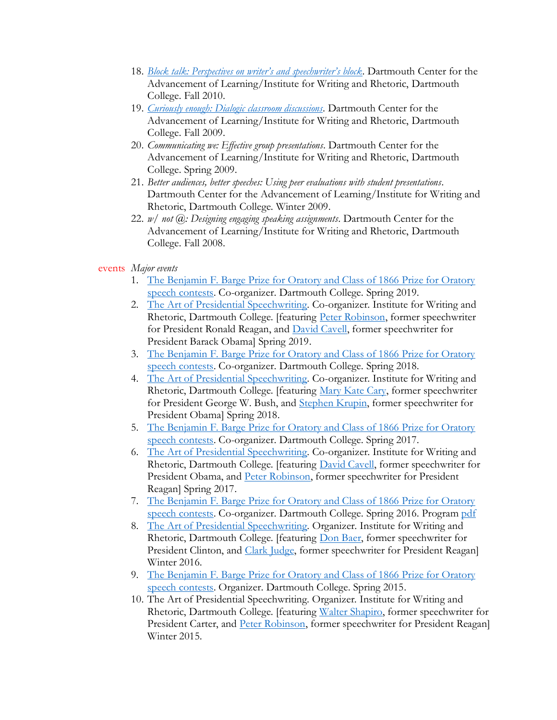- 18. *[Block talk: Perspectives on writer's and speechwriter's block](https://dcalblog.wordpress.com/2010/11/03/block-talk-perspectives-on-writers-and-speechwriters-block/)*. Dartmouth Center for the Advancement of Learning/Institute for Writing and Rhetoric, Dartmouth College. Fall 2010.
- 19. *[Curiously enough: Dialogic classroom discussions](https://dcalblog.wordpress.com/2009/11/03/curiously-enough-dialogic-classroom-discussions/)*. Dartmouth Center for the Advancement of Learning/Institute for Writing and Rhetoric, Dartmouth College. Fall 2009.
- 20. *Communicating we: Effective group presentations*. Dartmouth Center for the Advancement of Learning/Institute for Writing and Rhetoric, Dartmouth College. Spring 2009.
- 21. *Better audiences, better speeches: Using peer evaluations with student presentations*. Dartmouth Center for the Advancement of Learning/Institute for Writing and Rhetoric, Dartmouth College. Winter 2009.
- 22. *w/ not @: Designing engaging speaking assignments*. Dartmouth Center for the Advancement of Learning/Institute for Writing and Rhetoric, Dartmouth College. Fall 2008.

## events *Major events*

- 1. [The Benjamin F. Barge Prize for Oratory and Class of 1866 Prize for Oratory](https://writing-speech.dartmouth.edu/news/2019/06/dartmouth-students-compete-historic-speech-contest)  [speech contests.](https://writing-speech.dartmouth.edu/news/2019/06/dartmouth-students-compete-historic-speech-contest) Co-organizer. Dartmouth College. Spring 2019.
- 2. [The Art of Presidential Speechwriting.](https://writing-speech.dartmouth.edu/news/2019/06/dartmouth-students-compete-historic-speech-contest) Co-organizer. Institute for Writing and Rhetoric, Dartmouth College. [featuring [Peter Robinson,](https://www.whwg.com/peter-robinson) former speechwriter for President Ronald Reagan, and [David Cavell,](https://www.linkedin.com/in/david-cavell-3b976695/) former speechwriter for President Barack Obama] Spring 2019.
- 3. [The Benjamin F. Barge Prize for Oratory and Class of 1866 Prize for Oratory](https://writing-speech.dartmouth.edu/news/2018/06/dartmouth-students-compete-historic-speech-contest)  [speech contests.](https://writing-speech.dartmouth.edu/news/2018/06/dartmouth-students-compete-historic-speech-contest) Co-organizer. Dartmouth College. Spring 2018.
- 4. [The Art of Presidential Speechwriting.](https://writing-speech.dartmouth.edu/news/2018/06/dartmouth-students-compete-historic-speech-contest) Co-organizer. Institute for Writing and Rhetoric, Dartmouth College. [featuring [Mary Kate Cary,](https://millercenter.org/experts/mary-kate-cary) former speechwriter for President George W. Bush, and [Stephen Krupin,](https://www.skdknick.com/staff/stephen-krupin/) former speechwriter for President Obama] Spring 2018.
- 5. [The Benjamin F. Barge Prize for Oratory and Class of 1866 Prize for Oratory](https://writing-speech.dartmouth.edu/news/2017/05/dartmouth-students-compete-historic-speech-contest)  [speech contests.](https://writing-speech.dartmouth.edu/news/2017/05/dartmouth-students-compete-historic-speech-contest) Co-organizer. Dartmouth College. Spring 2017.
- 6. [The Art of Presidential Speechwriting.](https://writing-speech.dartmouth.edu/news/2017/05/dartmouth-students-compete-historic-speech-contest) Co-organizer. Institute for Writing and Rhetoric, Dartmouth College. [featuring *David Cavell*, former speechwriter for President Obama, and [Peter Robinson,](https://www.whwg.com/peter-robinson) former speechwriter for President Reagan] Spring 2017.
- 7. [The Benjamin F. Barge Prize for Oratory and Class of 1866 Prize for Oratory](https://writing-speech.dartmouth.edu/news/2016/04/dartmouth-students-compete-historic-speech-contest)  [speech contests.](https://writing-speech.dartmouth.edu/news/2016/04/dartmouth-students-compete-historic-speech-contest) Co-organizer. Dartmouth College. Spring 2016. Program [pdf](https://writing-speech.dartmouth.edu/sites/institute_writing_rhetoric.prod/files/2016_speech_contest_program_final.pdf)
- 8. [The Art of Presidential Speechwriting.](https://writing-speech.dartmouth.edu/news/2016/02/presidential-speechwriters-speak-dartmouth) Organizer. Institute for Writing and Rhetoric, Dartmouth College. [featuring [Don Baer,](https://www.brunswickgroup.com/don-baer-i18202/) former speechwriter for President Clinton, and [Clark Judge,](https://www.whwg.com/clark-judge) former speechwriter for President Reagan] Winter 2016.
- 9. [The Benjamin F. Barge Prize for Oratory and Class of 1866 Prize for Oratory](https://writing-speech.dartmouth.edu/news/2015/05/nine-dartmouth-students-compete-historic-speech-contest)  [speech contests.](https://writing-speech.dartmouth.edu/news/2015/05/nine-dartmouth-students-compete-historic-speech-contest) Organizer. Dartmouth College. Spring 2015.
- 10. The Art of Presidential Speechwriting. Organizer. Institute for Writing and Rhetoric, Dartmouth College. [featuring [Walter Shapiro,](https://www.brennancenter.org/about/staff/walter-shapiro) former speechwriter for President Carter, and [Peter Robinson,](https://www.whwg.com/peter-robinson) former speechwriter for President Reagan] Winter 2015.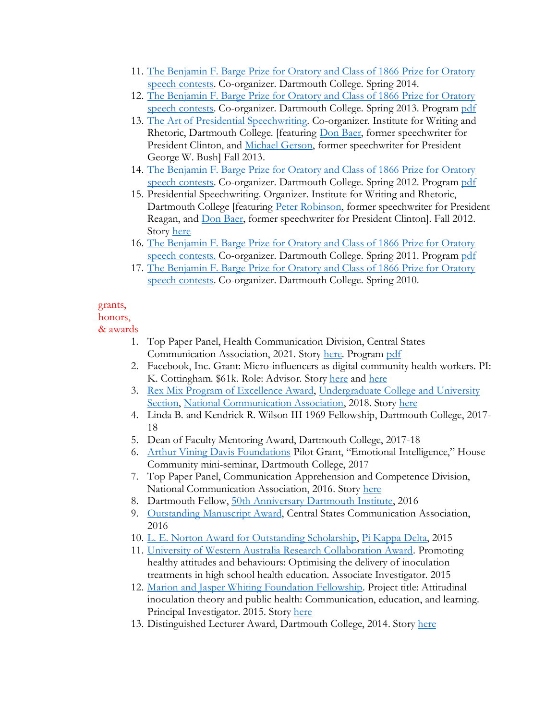- 11. [The Benjamin F. Barge Prize for Oratory and Class of 1866 Prize for Oratory](https://writing-speech.dartmouth.edu/curriculum/prizes/speech-contest-winners)  [speech contests.](https://writing-speech.dartmouth.edu/curriculum/prizes/speech-contest-winners) Co-organizer. Dartmouth College. Spring 2014.
- 12. [The Benjamin F. Barge Prize for Oratory and Class of 1866 Prize for Oratory](https://writing-speech.dartmouth.edu/curriculum/prizes/speech-contest-winners)  [speech contests.](https://writing-speech.dartmouth.edu/curriculum/prizes/speech-contest-winners) Co-organizer. Dartmouth College. Spring 2013. Program [pdf](https://writing-speech.dartmouth.edu/sites/institute_writing_rhetoric.prod/files/2013%20Speech%20Contest%20Program%20for%20web.pdf)
- 13. [The Art of Presidential Speechwriting.](https://home.dartmouth.edu/events/event?event=25676&listing=1) Co-organizer. Institute for Writing and Rhetoric, Dartmouth College. [featuring [Don Baer,](https://www.brunswickgroup.com/don-baer-i18202/) former speechwriter for President Clinton, and [Michael Gerson,](https://www.washingtonpost.com/people/michael-gerson/) former speechwriter for President George W. Bush] Fall 2013.
- 14. [The Benjamin F. Barge Prize for Oratory and Class of 1866 Prize for Oratory](https://writing-speech.dartmouth.edu/curriculum/prizes/speech-contest-winners)  [speech contests.](https://writing-speech.dartmouth.edu/curriculum/prizes/speech-contest-winners) Co-organizer. Dartmouth College. Spring 2012. Program [pdf](https://writing-speech.dartmouth.edu/sites/institute_writing_rhetoric.prod/files/SpeechContestProgram2012.pdf)
- 15. Presidential Speechwriting. Organizer. Institute for Writing and Rhetoric, Dartmouth College [featuring [Peter Robinson,](https://www.whwg.com/peter-robinson) former speechwriter for President Reagan, and [Don Baer,](https://www.brunswickgroup.com/don-baer-i18202/) former speechwriter for President Clinton]. Fall 2012. Story [here](https://writing-speech.dartmouth.edu/news/2012/11/reagan-and-clinton-speechwriters-meet-dartmouth-students)
- 16. [The Benjamin F. Barge Prize for Oratory and Class of 1866 Prize for Oratory](file://///Users/d28855j/Desktop/16.%252509The%20Benjamin%20F.%20Barge%20Prize%20for%20Oratory%20and%20Class%20of%201866%20Prize%20for%20Oratory%20speech%20contests.)  [speech contests.](file://///Users/d28855j/Desktop/16.%252509The%20Benjamin%20F.%20Barge%20Prize%20for%20Oratory%20and%20Class%20of%201866%20Prize%20for%20Oratory%20speech%20contests.) Co-organizer. Dartmouth College. Spring 2011. Program [pdf](https://writing-speech.dartmouth.edu/sites/institute_writing_rhetoric.prod/files/SpeechContestProgram2011.pdf)
- 17. [The Benjamin F. Barge Prize for Oratory and Class of 1866 Prize for Oratory](/Users/d28855j/Desktop/The%20Benjamin%20F.%20Barge%20Prize%20for%20Oratory%20and%20Class%20of%201866%20Prize%20for%20Oratory%20speech%20contests.)  [speech contests.](/Users/d28855j/Desktop/The%20Benjamin%20F.%20Barge%20Prize%20for%20Oratory%20and%20Class%20of%201866%20Prize%20for%20Oratory%20speech%20contests.) Co-organizer. Dartmouth College. Spring 2010.

## grants,

## honors,

& awards

- 1. Top Paper Panel, Health Communication Division, Central States Communication Association, 2021. Story [here.](https://writing-speech.dartmouth.edu/news/2021/02/associate-professor-speech-josh-compton-earns-top-paper-award-health-communication) Program [pdf](https://www.csca-net.org/aws/CSCA/asset_manager/get_file/548924)
- 2. Facebook, Inc. Grant: Micro-influencers as digital community health workers. PI: K. Cottingham. \$61k. Role: Advisor. Story [here](https://sites.dartmouth.edu/CottinghamLab/2020/08/07/new-award-from-facebook-misinformation-and-polarization/) and here
- 3. [Rex Mix Program of Excellence Award,](https://writing-speech.dartmouth.edu/news/2019/02/speech-program-wins-national-award#:~:text=Each%20year%20the%20National%20Communication,course%20design%2C%20and%20special%20programs.) [Undergraduate College and University](https://www.natcom.org/awards/undergraduate-college-and-university-section)  [Section,](https://www.natcom.org/awards/undergraduate-college-and-university-section) [National Communication Association,](https://www.natcom.org/) 2018. Story [here](https://writing-speech.dartmouth.edu/news/2019/02/speech-program-wins-national-award#:~:text=Each%20year%20the%20National%20Communication,course%20design%2C%20and%20special%20programs.)
- 4. Linda B. and Kendrick R. Wilson III 1969 Fellowship, Dartmouth College, 2017- 18
- 5. Dean of Faculty Mentoring Award, Dartmouth College, 2017-18
- 6. [Arthur Vining Davis Foundations](https://www.avdf.org/) Pilot Grant, "Emotional Intelligence," House Community mini-seminar, Dartmouth College, 2017
- 7. Top Paper Panel, Communication Apprehension and Competence Division, National Communication Association, 2016. Story [here](https://writing-speech.dartmouth.edu/news/2016/12/compton-wins-top-paper-prize)
- 8. Dartmouth Fellow, [50th Anniversary Dartmouth Institute,](https://dartmouthwritinginstitute.wordpress.com/) 2016
- 9. [Outstanding Manuscript Award,](https://www.csca-net.org/aws/CSCA/pt/sp/awards) Central States Communication Association, 2016
- 10. [L. E. Norton Award for Outstanding Scholarship,](https://pkd.clubexpress.com/content.aspx?page_id=22&club_id=842372&module_id=290030) [Pi Kappa Delta,](https://pkd.clubexpress.com/) 2015
- 11. [University of Western Australia Research Collaboration Award.](https://www.news.uwa.edu.au/archive/201408146898/august-2014/research-grants/) Promoting healthy attitudes and behaviours: Optimising the delivery of inoculation treatments in high school health education. Associate Investigator. 2015
- 12. [Marion and Jasper Whiting Foundation Fellowship.](https://www.whiting.org/) Project title: Attitudinal inoculation theory and public health: Communication, education, and learning. Principal Investigator. 2015. Stor[y here](https://writing-speech.dartmouth.edu/news/2015/04/compton-wins-whiting-foundation-fellowship)
- 13. Distinguished Lecturer Award, Dartmouth College, 2014. Story [here](https://writing-speech.dartmouth.edu/news/2014/03/compton-wins-distinguished-lecturer-award)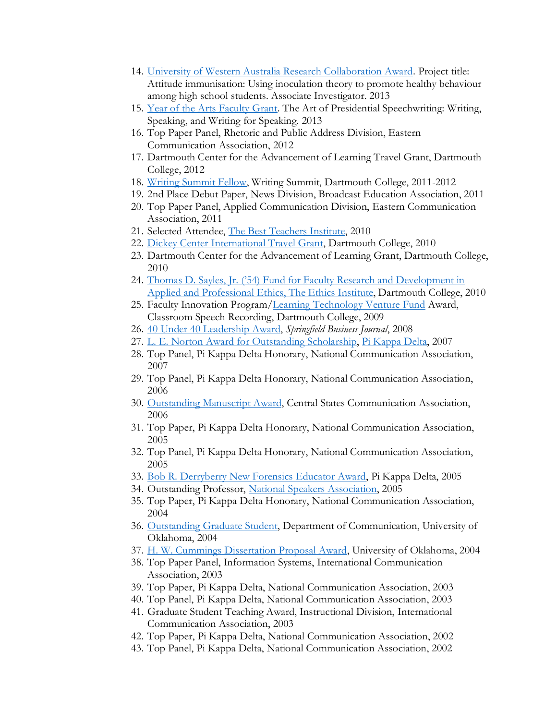- 14. [University of Western Australia Research Collaboration Award.](https://www.news.uwa.edu.au/archive/201310096117/october-2013/research-grants/) Project title: Attitude immunisation: Using inoculation theory to promote healthy behaviour among high school students. Associate Investigator. 2013
- 15. [Year of the Arts Faculty Grant.](https://www.dartmouth.edu/arts/about/yoa_facultygrants.html) The Art of Presidential Speechwriting: Writing, Speaking, and Writing for Speaking. 2013
- 16. Top Paper Panel, Rhetoric and Public Address Division, Eastern Communication Association, 2012
- 17. Dartmouth Center for the Advancement of Learning Travel Grant, Dartmouth College, 2012
- 18. [Writing Summit Fellow,](https://home.dartmouth.edu/events/event?event=22832) Writing Summit, Dartmouth College, 2011-2012
- 19. 2nd Place Debut Paper, News Division, Broadcast Education Association, 2011
- 20. Top Paper Panel, Applied Communication Division, Eastern Communication Association, 2011
- 21. Selected Attendee, [The Best Teachers Institute,](http://www.bestteachersinstitute.org/) 2010
- 22. [Dickey Center International Travel Grant,](https://dickey.dartmouth.edu/faculty-postdocs/funding-opportunities/travel-research) Dartmouth College, 2010
- 23. Dartmouth Center for the Advancement of Learning Grant, Dartmouth College, 2010
- 24. [Thomas D. Sayles, Jr. \('54\) Fund for Faculty Research and Development in](https://ethics-institute.dartmouth.edu/)  Applied [and Professional Ethics, The Ethics Institute,](https://ethics-institute.dartmouth.edu/) Dartmouth College, 2010
- 25. Faculty Innovation Program[/Learning Technology Venture Fund](https://itc.dartmouth.edu/) Award, Classroom Speech Recording, Dartmouth College, 2009
- 26. [40 Under 40 Leadership Award,](https://springfieldbusinessjournal.com/awards-program/forty-under-40/) *Springfield Business Journal*, 2008
- 27. [L. E. Norton Award for Outstanding Scholarship,](https://pkd.clubexpress.com/content.aspx?page_id=22&club_id=842372&module_id=290030) [Pi Kappa Delta,](https://pkd.clubexpress.com/) 2007
- 28. Top Panel, Pi Kappa Delta Honorary, National Communication Association, 2007
- 29. Top Panel, Pi Kappa Delta Honorary, National Communication Association, 2006
- 30. [Outstanding Manuscript Award,](https://www.csca-net.org/aws/CSCA/pt/sp/awards) Central States Communication Association, 2006
- 31. Top Paper, Pi Kappa Delta Honorary, National Communication Association, 2005
- 32. Top Panel, Pi Kappa Delta Honorary, National Communication Association, 2005
- 33. [Bob R. Derryberry New Forensics Educator Award,](https://pkd.clubexpress.com/content.aspx?page_id=22&club_id=842372&module_id=290030) Pi Kappa Delta, 2005
- 34. Outstanding Professor, [National Speakers Association,](https://nsaspeaker.org/?gclid=CjwKCAjwhuCKBhADEiwA1HegOY4apxZUGICP5BFNJaOcaqCCPbQX8SwzPXEJzxqUhT2v86fUTrzqQxoC-tIQAvD_BwE) 2005
- 35. Top Paper, Pi Kappa Delta Honorary, National Communication Association, 2004
- 36. [Outstanding Graduate Student,](https://www.ou.edu/cas/comm/scholarships-and-awards/graduate) Department of Communication, University of Oklahoma, 2004
- 37. [H. W. Cummings Dissertation Proposal Award,](https://www.ou.edu/cas/comm/scholarships-and-awards/graduate) University of Oklahoma, 2004
- 38. Top Paper Panel, Information Systems, International Communication Association, 2003
- 39. Top Paper, Pi Kappa Delta, National Communication Association, 2003
- 40. Top Panel, Pi Kappa Delta, National Communication Association, 2003
- 41. Graduate Student Teaching Award, Instructional Division, International Communication Association, 2003
- 42. Top Paper, Pi Kappa Delta, National Communication Association, 2002
- 43. Top Panel, Pi Kappa Delta, National Communication Association, 2002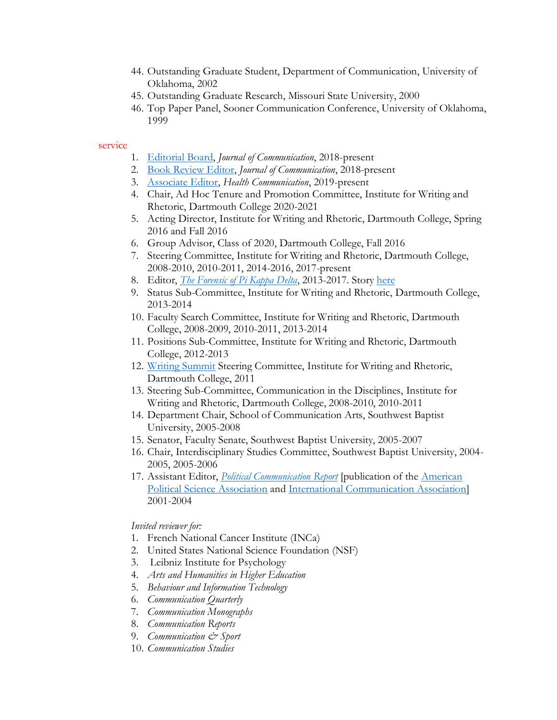- 44. Outstanding Graduate Student, Department of Communication, University of Oklahoma, 2002
- 45. Outstanding Graduate Research, Missouri State University, 2000
- 46. Top Paper Panel, Sooner Communication Conference, University of Oklahoma, 1999

#### service

- 1. [Editorial Board,](https://academic.oup.com/joc/pages/Editorial_Board) *Journal of Communication*, 2018-present
- 2. [Book Review Editor,](https://academic.oup.com/joc/pages/Editorial_Board) *Journal of Communication*, 2018-present
- 3. [Associate Editor,](https://www.tandfonline.com/action/journalInformation?show=editorialBoard&journalCode=hhth20) *Health Communication*, 2019-present
- 4. Chair, Ad Hoc Tenure and Promotion Committee, Institute for Writing and Rhetoric, Dartmouth College 2020-2021
- 5. Acting Director, Institute for Writing and Rhetoric, Dartmouth College, Spring 2016 and Fall 2016
- 6. Group Advisor, Class of 2020, Dartmouth College, Fall 2016
- 7. Steering Committee, Institute for Writing and Rhetoric, Dartmouth College, 2008-2010, 2010-2011, 2014-2016, 2017-present
- 8. Editor, *[The Forensic of Pi Kappa Delta](https://pkd.clubexpress.com/)*, 2013-2017. Story [here](https://writing-speech.dartmouth.edu/news/2013/06/josh-compton-named-editor-forensic)
- 9. Status Sub-Committee, Institute for Writing and Rhetoric, Dartmouth College, 2013-2014
- 10. Faculty Search Committee, Institute for Writing and Rhetoric, Dartmouth College, 2008-2009, 2010-2011, 2013-2014
- 11. Positions Sub-Committee, Institute for Writing and Rhetoric, Dartmouth College, 2012-2013
- 12. [Writing Summit](https://sites.dartmouth.edu/writing-research-seminar/) Steering Committee, Institute for Writing and Rhetoric, Dartmouth College, 2011
- 13. Steering Sub-Committee, Communication in the Disciplines, Institute for Writing and Rhetoric, Dartmouth College, 2008-2010, 2010-2011
- 14. Department Chair, School of Communication Arts, Southwest Baptist University, 2005-2008
- 15. Senator, Faculty Senate, Southwest Baptist University, 2005-2007
- 16. Chair, Interdisciplinary Studies Committee, Southwest Baptist University, 2004- 2005, 2005-2006
- 17. Assistant Editor, *[Political Communication](http://politicalcommunication.org/) Report* [publication of the [American](https://www.apsanet.org/)  [Political Science Association](https://www.apsanet.org/) and [International Communication Association\]](https://www.icahdq.org/) 2001-2004

#### *Invited reviewer for:*

- 1. French National Cancer Institute (INCa)
- 2. United States National Science Foundation (NSF)
- 3. Leibniz Institute for Psychology
- 4. *Arts and Humanities in Higher Education*
- 5. *Behaviour and Information Technology*
- 6. *Communication Quarterly*
- 7. *Communication Monographs*
- 8. *Communication Reports*
- 9. *Communication & Sport*
- 10. *Communication Studies*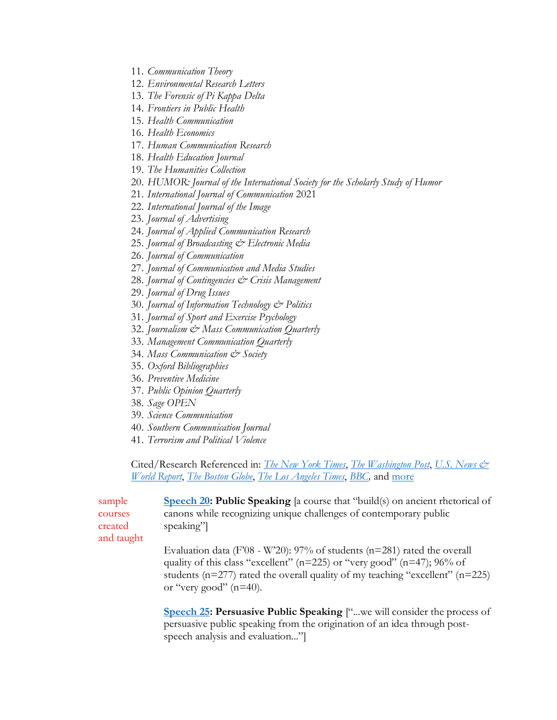- 11. *Communication Theory*
- 12. *Environmental Research Letters*
- 13. *The Forensic of Pi Kappa Delta*
- 14. *Frontiers in Public Health*
- 15. *Health Communication*
- 16. *Health Economics*
- 17. *Human Communication Research*
- 18. *Health Education Journal*
- 19. *The Humanities Collection*
- 20. *HUMOR: Journal of the International Society for the Scholarly Study of Humor*
- 21. *International Journal of Communication* 2021
- 22. *International Journal of the Image*
- 23. *Journal of Advertising*
- 24. *Journal of Applied Communication Research*
- 25. *Journal of Broadcasting & Electronic Media*
- 26. *Journal of Communication*
- 27. *Journal of Communication and Media Studies*
- 28. *Journal of Contingencies & Crisis Management*
- 29. *Journal of Drug Issues*
- 30. *Journal of Information Technology & Politics*
- 31. *Journal of Sport and Exercise Psychology*
- 32. *Journalism & Mass Communication Quarterly*
- 33. *Management Communication Quarterly*
- 34. *Mass Communication & Society*
- 35. *Oxford Bibliographies*
- 36. *Preventive Medicine*
- 37. *Public Opinion Quarterly*
- 38. *Sage OPEN*
- 39. *Science Communication*
- 40. *Southern Communication Journal*
- 41. *Terrorism and Political Violence*

Cited/Research Referenced in: *[The New York Times](https://www.nytimes.com/2021/03/31/well/family/kids-children-addiction-risk.html)*, *[The Washington Post](https://www.washingtonpost.com/lifestyle/2019/08/27/five-ways-parents-can-help-their-kids-transition-smoothly-middle-school/)*, *[U.S. News &](https://health.usnews.com/wellness/for-parents/articles/tween-vaping-what-to-do-about-the-increased-use-of-e-cigarettes-among-kids)  [World Report](https://health.usnews.com/wellness/for-parents/articles/tween-vaping-what-to-do-about-the-increased-use-of-e-cigarettes-among-kids)*, *[The Boston Globe](https://www.bostonglobe.com/2020/10/23/opinion/this-might-be-perfect-retort-crooked-hillary-or-sleepy-joe/)*, *[The Los Angeles Times](https://www.latimes.com/science/sciencenow/la-sci-sn-fake-news-vaccine-20170126-story.html)*, *[BBC,](https://www.bbc.com/future/article/20181114-could-this-game-be-a-vaccine-against-fake-news)* and [more](https://sites.dartmouth.edu/jcompton/press/)

| sample     | <b>Speech 20: Public Speaking</b> [a course that "build(s) on ancient rhetorical of   |
|------------|---------------------------------------------------------------------------------------|
| courses    | canons while recognizing unique challenges of contemporary public                     |
| created    | speaking"                                                                             |
| and taught |                                                                                       |
|            | Evaluation data (F'08 - W'20): 97% of students ( $n=281$ ) rated the overall          |
|            | quality of this class "excellent" ( $n=225$ ) or "very good" ( $n=47$ ); 96% of       |
|            | students ( $n=277$ ) rated the overall quality of my teaching "excellent" ( $n=225$ ) |
|            | or "very good" $(n=40)$ .                                                             |
|            |                                                                                       |

**[Speech 25:](https://writing-speech.dartmouth.edu/curriculum/speech-courses/speech-25-persuasive-public-speaking) Persuasive Public Speaking** ["...we will consider the process of persuasive public speaking from the origination of an idea through postspeech analysis and evaluation..."]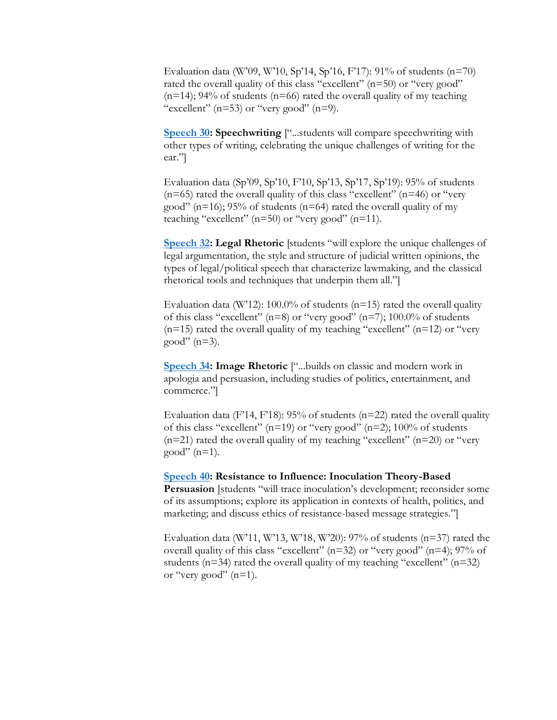Evaluation data (W'09, W'10, Sp'14, Sp'16, F'17): 91% of students (n=70) rated the overall quality of this class "excellent"  $(n=50)$  or "very good"  $(n=14)$ ; 94% of students  $(n=66)$  rated the overall quality of my teaching "excellent"  $(n=53)$  or "very good"  $(n=9)$ .

**<u>Speech 30</u>: Speechwriting** ["...students will compare speechwriting with other types of writing, celebrating the unique challenges of writing for the ear."]

Evaluation data (Sp'09, Sp'10, F'10, Sp'13, Sp'17, Sp'19): 95% of students  $(n=65)$  rated the overall quality of this class "excellent"  $(n=46)$  or "very good" ( $n=16$ ); 95% of students ( $n=64$ ) rated the overall quality of my teaching "excellent" ( $n=50$ ) or "very good" ( $n=11$ ).

**[Speech 32:](https://writing-speech.dartmouth.edu/speech-32-legal-rhetoric) Legal Rhetoric** [students "will explore the unique challenges of legal argumentation, the style and structure of judicial written opinions, the types of legal/political speech that characterize lawmaking, and the classical rhetorical tools and techniques that underpin them all."]

Evaluation data (W'12): 100.0% of students ( $n=15$ ) rated the overall quality of this class "excellent" ( $n=8$ ) or "very good" ( $n=7$ ); 100.0% of students  $(n=15)$  rated the overall quality of my teaching "excellent"  $(n=12)$  or "very good"  $(n=3)$ .

**[Speech 34:](https://writing-speech.dartmouth.edu/curriculum/speech-courses/speech-34-image-rhetoric-image-attack-image-repair-and-image-promotion) Image Rhetoric** ["...builds on classic and modern work in apologia and persuasion, including studies of politics, entertainment, and commerce."]

Evaluation data (F'14, F'18): 95% of students ( $n=22$ ) rated the overall quality of this class "excellent" ( $n=19$ ) or "very good" ( $n=2$ ); 100% of students  $(n=21)$  rated the overall quality of my teaching "excellent"  $(n=20)$  or "very good"  $(n=1)$ .

**[Speech 40:](https://writing-speech.dartmouth.edu/curriculum/speech-courses/speech-40-resistance-influence-inoculation-theory-based-persuasion) Resistance to Influence: Inoculation Theory-Based Persuasion** [students "will trace inoculation's development; reconsider some of its assumptions; explore its application in contexts of health, politics, and marketing; and discuss ethics of resistance-based message strategies."]

Evaluation data (W'11, W'13, W'18, W'20):  $97\%$  of students (n=37) rated the overall quality of this class "excellent" (n=32) or "very good" (n=4); 97% of students ( $n=34$ ) rated the overall quality of my teaching "excellent" ( $n=32$ ) or "very good"  $(n=1)$ .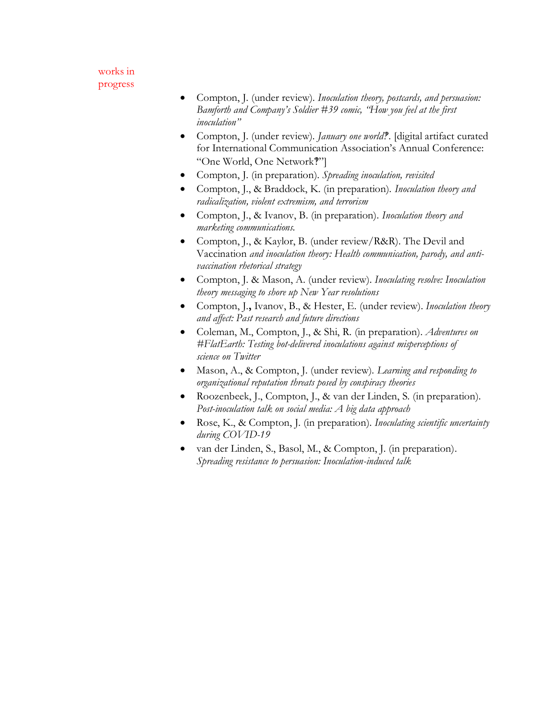### works in progress

- Compton, J. (under review). *Inoculation theory, postcards, and persuasion: Bamforth and Company's Soldier #39 comic, "How you feel at the first inoculation"*
- Compton, J. (under review). *January one world*?. [digital artifact curated for International Communication Association's Annual Conference: ["One World, One Network](https://www.icahdq.org/page/ICA2022)?"
- Compton, J. (in preparation). *Spreading inoculation, revisited*
- Compton, J., & Braddock, K. (in preparation). *Inoculation theory and radicalization, violent extremism, and terrorism*
- Compton, J., & Ivanov, B. (in preparation). *Inoculation theory and marketing communications.*
- Compton, J., & Kaylor, B. (under review/R&R). The Devil and Vaccination *and inoculation theory: Health communication, parody, and antivaccination rhetorical strategy*
- Compton, J. & Mason, A. (under review). *Inoculating resolve: Inoculation theory messaging to shore up New Year resolutions*
- Compton, J.**,** Ivanov, B., & Hester, E. (under review). *Inoculation theory and affect: Past research and future directions*
- Coleman, M., Compton, J., & Shi, R. (in preparation). *Adventures on #FlatEarth: Testing bot-delivered inoculations against misperceptions of science on Twitter*
- Mason, A., & Compton, J. (under review). *Learning and responding to organizational reputation threats posed by conspiracy theories*
- Roozenbeek, J., Compton, J., & van der Linden, S. (in preparation). *Post-inoculation talk on social media: A big data approach*
- Rose, K., & Compton, J. (in preparation). *Inoculating scientific uncertainty during COVID-19*
- van der Linden, S., Basol, M., & Compton, J. (in preparation). *Spreading resistance to persuasion: Inoculation-induced talk*